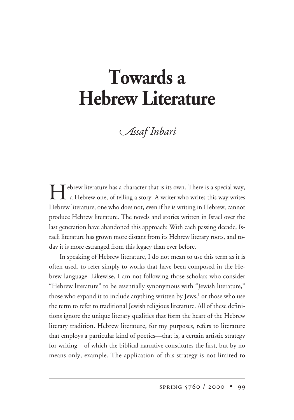# **Towards a Hebrew Literature**

*ssaf -nbari*

**Hebrew literature has a character that is its own.** There is a special way, a Hebrew one, of telling a story. A writer who writes this way writes Hebrew literature; one who does not, even if he is writing in Hebrew, cannot produce Hebrew literature. The novels and stories written in Israel over the last generation have abandoned this approach: With each passing decade, Israeli literature has grown more distant from its Hebrew literary roots, and today it is more estranged from this legacy than ever before.

In speaking of Hebrew literature, I do not mean to use this term as it is often used, to refer simply to works that have been composed in the Hebrew language. Likewise, I am not following those scholars who consider "Hebrew literature" to be essentially synonymous with "Jewish literature," those who expand it to include anything written by Jews,<sup>1</sup> or those who use the term to refer to traditional Jewish religious literature. All of these definitions ignore the unique literary qualities that form the heart of the Hebrew literary tradition. Hebrew literature, for my purposes, refers to literature that employs a particular kind of poetics—that is, a certain artistic strategy for writing—of which the biblical narrative constitutes the first, but by no means only, example. The application of this strategy is not limited to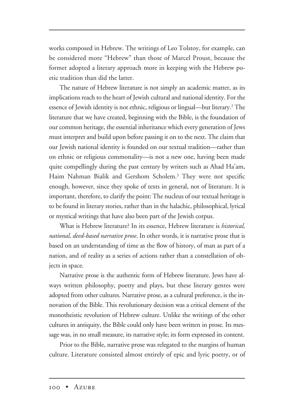works composed in Hebrew. The writings of Leo Tolstoy, for example, can be considered more "Hebrew" than those of Marcel Proust, because the former adopted a literary approach more in keeping with the Hebrew poetic tradition than did the latter.

The nature of Hebrew literature is not simply an academic matter, as its implications reach to the heart of Jewish cultural and national identity. For the essence of Jewish identity is not ethnic, religious or lingual—but literary.2 The literature that we have created, beginning with the Bible, is the foundation of our common heritage, the essential inheritance which every generation of Jews must interpret and build upon before passing it on to the next. The claim that our Jewish national identity is founded on our textual tradition—rather than on ethnic or religious commonality—is not a new one, having been made quite compellingly during the past century by writers such as Ahad Ha'am, Haim Nahman Bialik and Gershom Scholem.<sup>3</sup> They were not specific enough, however, since they spoke of texts in general, not of literature. It is important, therefore, to clarify the point: The nucleus of our textual heritage is to be found in literary stories, rather than in the halachic, philosophical, lyrical or mystical writings that have also been part of the Jewish corpus.

What is Hebrew literature? In its essence, Hebrew literature is *historical, national, deed-based narrative prose*. In other words, it is narrative prose that is based on an understanding of time as the flow of history, of man as part of a nation, and of reality as a series of actions rather than a constellation of objects in space.

Narrative prose is the authentic form of Hebrew literature. Jews have always written philosophy, poetry and plays, but these literary genres were adopted from other cultures. Narrative prose, as a cultural preference, is the innovation of the Bible. This revolutionary decision was a critical element of the monotheistic revolution of Hebrew culture. Unlike the writings of the other cultures in antiquity, the Bible could only have been written in prose. Its message was, in no small measure, its narrative style; its form expressed its content.

Prior to the Bible, narrative prose was relegated to the margins of human culture. Literature consisted almost entirely of epic and lyric poetry, or of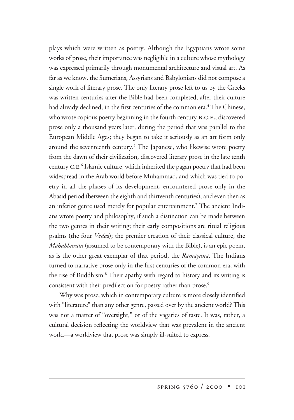plays which were written as poetry. Although the Egyptians wrote some works of prose, their importance was negligible in a culture whose mythology was expressed primarily through monumental architecture and visual art. As far as we know, the Sumerians, Assyrians and Babylonians did not compose a single work of literary prose. The only literary prose left to us by the Greeks was written centuries after the Bible had been completed, after their culture had already declined, in the first centuries of the common era.<sup>4</sup> The Chinese, who wrote copious poetry beginning in the fourth century B.C.E., discovered prose only a thousand years later, during the period that was parallel to the European Middle Ages; they began to take it seriously as an art form only around the seventeenth century.<sup>5</sup> The Japanese, who likewise wrote poetry from the dawn of their civilization, discovered literary prose in the late tenth century C.E.<sup>6</sup> Islamic culture, which inherited the pagan poetry that had been widespread in the Arab world before Muhammad, and which was tied to poetry in all the phases of its development, encountered prose only in the Abasid period (between the eighth and thirteenth centuries), and even then as an inferior genre used merely for popular entertainment.<sup>7</sup> The ancient Indians wrote poetry and philosophy, if such a distinction can be made between the two genres in their writing; their early compositions are ritual religious psalms (the four *Veda*s); the premier creation of their classical culture, the *Mahabharata* (assumed to be contemporary with the Bible), is an epic poem, as is the other great exemplar of that period, the *Ramayana*. The Indians turned to narrative prose only in the first centuries of the common era, with the rise of Buddhism.8 Their apathy with regard to history and its writing is consistent with their predilection for poetry rather than prose.<sup>9</sup>

Why was prose, which in contemporary culture is more closely identified with "literature" than any other genre, passed over by the ancient world? This was not a matter of "oversight," or of the vagaries of taste. It was, rather, a cultural decision reflecting the worldview that was prevalent in the ancient world—a worldview that prose was simply ill-suited to express.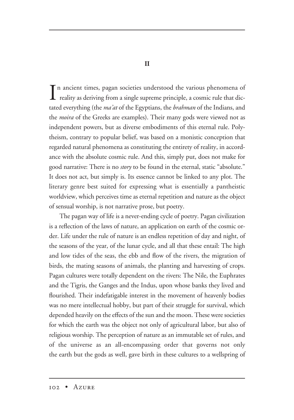In ancient times, pagan societies understood the various phenomena of<br>reality as deriving from a single supreme principle, a cosmic rule that dic- $\perp$  reality as deriving from a single supreme principle, a cosmic rule that dictated everything (the *ma'at* of the Egyptians, the *brahman* of the Indians, and the *moira* of the Greeks are examples). Their many gods were viewed not as independent powers, but as diverse embodiments of this eternal rule. Polytheism, contrary to popular belief, was based on a monistic conception that regarded natural phenomena as constituting the entirety of reality, in accordance with the absolute cosmic rule. And this, simply put, does not make for good narrative: There is no *story* to be found in the eternal, static "absolute." It does not act, but simply is. Its essence cannot be linked to any plot. The literary genre best suited for expressing what is essentially a pantheistic worldview, which perceives time as eternal repetition and nature as the object of sensual worship, is not narrative prose, but poetry.

The pagan way of life is a never-ending cycle of poetry. Pagan civilization is a reflection of the laws of nature, an application on earth of the cosmic order. Life under the rule of nature is an endless repetition of day and night, of the seasons of the year, of the lunar cycle, and all that these entail: The high and low tides of the seas, the ebb and flow of the rivers, the migration of birds, the mating seasons of animals, the planting and harvesting of crops. Pagan cultures were totally dependent on the rivers: The Nile, the Euphrates and the Tigris, the Ganges and the Indus, upon whose banks they lived and flourished. Their indefatigable interest in the movement of heavenly bodies was no mere intellectual hobby, but part of their struggle for survival, which depended heavily on the effects of the sun and the moon. These were societies for which the earth was the object not only of agricultural labor, but also of religious worship. The perception of nature as an immutable set of rules, and of the universe as an all-encompassing order that governs not only the earth but the gods as well, gave birth in these cultures to a wellspring of

**II**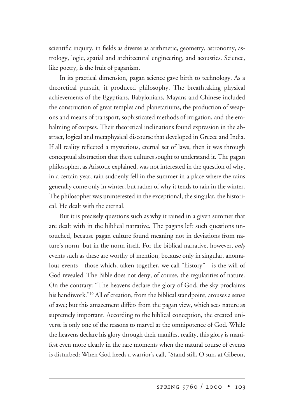scientific inquiry, in fields as diverse as arithmetic, geometry, astronomy, astrology, logic, spatial and architectural engineering, and acoustics. Science, like poetry, is the fruit of paganism.

In its practical dimension, pagan science gave birth to technology. As a theoretical pursuit, it produced philosophy. The breathtaking physical achievements of the Egyptians, Babylonians, Mayans and Chinese included the construction of great temples and planetariums, the production of weapons and means of transport, sophisticated methods of irrigation, and the embalming of corpses. Their theoretical inclinations found expression in the abstract, logical and metaphysical discourse that developed in Greece and India. If all reality reflected a mysterious, eternal set of laws, then it was through conceptual abstraction that these cultures sought to understand it. The pagan philosopher, as Aristotle explained, was not interested in the question of why, in a certain year, rain suddenly fell in the summer in a place where the rains generally come only in winter, but rather of why it tends to rain in the winter. The philosopher was uninterested in the exceptional, the singular, the historical. He dealt with the eternal.

But it is precisely questions such as why it rained in a given summer that are dealt with in the biblical narrative. The pagans left such questions untouched, because pagan culture found meaning not in deviations from nature's norm, but in the norm itself. For the biblical narrative, however, *only* events such as these are worthy of mention, because only in singular, anomalous events—those which, taken together, we call "history"—is the will of God revealed. The Bible does not deny, of course, the regularities of nature. On the contrary: "The heavens declare the glory of God, the sky proclaims his handiwork."<sup>10</sup> All of creation, from the biblical standpoint, arouses a sense of awe; but this amazement differs from the pagan view, which sees nature as supremely important. According to the biblical conception, the created universe is only one of the reasons to marvel at the omnipotence of God. While the heavens declare his glory through their manifest reality, this glory is manifest even more clearly in the rare moments when the natural course of events is disturbed: When God heeds a warrior's call, "Stand still, O sun, at Gibeon,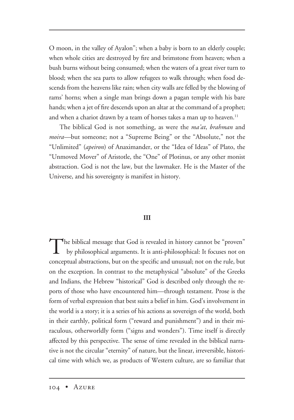O moon, in the valley of Ayalon"; when a baby is born to an elderly couple; when whole cities are destroyed by fire and brimstone from heaven; when a bush burns without being consumed; when the waters of a great river turn to blood; when the sea parts to allow refugees to walk through; when food descends from the heavens like rain; when city walls are felled by the blowing of rams' horns; when a single man brings down a pagan temple with his bare hands; when a jet of fire descends upon an altar at the command of a prophet; and when a chariot drawn by a team of horses takes a man up to heaven.<sup>11</sup>

The biblical God is not something, as were the *ma'at*, *brahman* and *moira—*but someone; not a "Supreme Being" or the "Absolute," not the "Unlimited" (*apeiron*) of Anaximander, or the "Idea of Ideas" of Plato, the "Unmoved Mover" of Aristotle, the "One" of Plotinus, or any other monist abstraction. God is not the law, but the lawmaker. He is the Master of the Universe, and his sovereignty is manifest in history.

#### **III**

The biblical message that God is revealed in history cannot be "proven"<br>by philosophical arguments. It is anti-philosophical: It focuses not on conceptual abstractions, but on the specific and unusual; not on the rule, but on the exception. In contrast to the metaphysical "absolute" of the Greeks and Indians, the Hebrew "historical" God is described only through the reports of those who have encountered him—through testament. Prose is the form of verbal expression that best suits a belief in him. God's involvement in the world is a story; it is a series of his actions as sovereign of the world, both in their earthly, political form ("reward and punishment") and in their miraculous, otherworldly form ("signs and wonders"). Time itself is directly affected by this perspective. The sense of time revealed in the biblical narrative is not the circular "eternity" of nature, but the linear, irreversible, historical time with which we, as products of Western culture, are so familiar that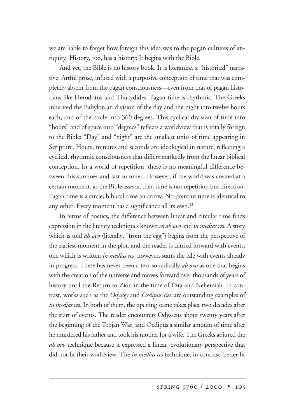we are liable to forget how foreign this idea was to the pagan cultures of antiquity. History, too, has a history: It begins with the Bible.

And yet, the Bible is no history book. It is literature, a "historical" narrative: Artful prose, infused with a purposive conception of time that was completely absent from the pagan consciousness—even from that of pagan historians like Herodotus and Thucydides. Pagan time is rhythmic. The Greeks inherited the Babylonian division of the day and the night into twelve hours each, and of the circle into 360 degrees. This cyclical division of time into "hours" and of space into "degrees" reflects a worldview that is totally foreign to the Bible: "Day" and "night" are the smallest units of time appearing in Scripture. Hours, minutes and seconds are ideological in nature, reflecting a cyclical, rhythmic consciousness that differs markedly from the linear biblical conception. In a world of repetition, there is no meaningful difference between this summer and last summer. However, if the world was created at a certain moment, as the Bible asserts, then time is not repetition but direction. Pagan time is a circle; biblical time an arrow. No point in time is identical to any other. Every moment has a significance all its own.<sup>12</sup>

In terms of poetics, the difference between linear and circular time finds expression in the literary techniques known as *ab ovo* and *in medias res*. A story which is told *ab ovo* (literally, "from the egg") begins from the perspective of the earliest moment in the plot, and the reader is carried forward with events; one which is written *in medias res*, however, starts the tale with events already in progress. There has never been a text so radically *ab ovo* as one that begins with the creation of the universe and moves forward over thousands of years of history until the Return to Zion in the time of Ezra and Nehemiah. In contrast, works such as the *Odyssey* and *Oedipus Rex* are outstanding examples of *in medias res*. In both of them, the opening scene takes place two decades after the start of events. The reader encounters Odysseus about twenty years after the beginning of the Trojan War, and Oedipus a similar amount of time after he murdered his father and took his mother for a wife. The Greeks abjured the *ab ovo* technique because it expressed a linear, evolutionary perspective that did not fit their worldview. The *in medias res* technique, in contrast, better fit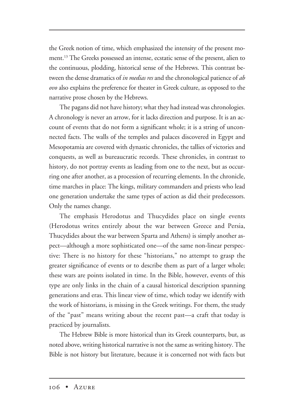the Greek notion of time, which emphasized the intensity of the present moment.13 The Greeks possessed an intense, ecstatic sense of the present, alien to the continuous, plodding, historical sense of the Hebrews. This contrast between the dense dramatics of *in medias res* and the chronological patience of *ab ovo* also explains the preference for theater in Greek culture, as opposed to the narrative prose chosen by the Hebrews.

The pagans did not have history; what they had instead was chronologies. A chronology is never an arrow, for it lacks direction and purpose. It is an account of events that do not form a significant whole; it is a string of unconnected facts. The walls of the temples and palaces discovered in Egypt and Mesopotamia are covered with dynastic chronicles, the tallies of victories and conquests, as well as bureaucratic records. These chronicles, in contrast to history, do not portray events as leading from one to the next, but as occurring one after another, as a procession of recurring elements. In the chronicle, time marches in place: The kings, military commanders and priests who lead one generation undertake the same types of action as did their predecessors. Only the names change.

The emphasis Herodotus and Thucydides place on single events (Herodotus writes entirely about the war between Greece and Persia, Thucydides about the war between Sparta and Athens) is simply another aspect—although a more sophisticated one—of the same non-linear perspective: There is no history for these "historians," no attempt to grasp the greater significance of events or to describe them as part of a larger whole; these wars are points isolated in time. In the Bible, however, events of this type are only links in the chain of a causal historical description spanning generations and eras. This linear view of time, which today we identify with the work of historians, is missing in the Greek writings. For them, the study of the "past" means writing about the recent past—a craft that today is practiced by journalists.

The Hebrew Bible is more historical than its Greek counterparts, but, as noted above, writing historical narrative is not the same as writing history. The Bible is not history but literature, because it is concerned not with facts but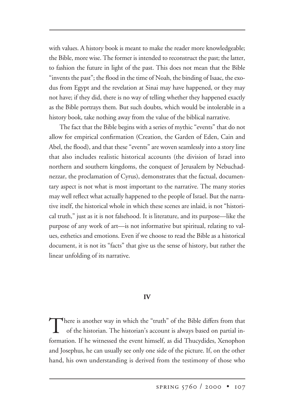with values. A history book is meant to make the reader more knowledgeable; the Bible, more wise. The former is intended to reconstruct the past; the latter, to fashion the future in light of the past. This does not mean that the Bible "invents the past"; the flood in the time of Noah, the binding of Isaac, the exodus from Egypt and the revelation at Sinai may have happened, or they may not have; if they did, there is no way of telling whether they happened exactly as the Bible portrays them. But such doubts, which would be intolerable in a history book, take nothing away from the value of the biblical narrative.

The fact that the Bible begins with a series of mythic "events" that do not allow for empirical confirmation (Creation, the Garden of Eden, Cain and Abel, the flood), and that these "events" are woven seamlessly into a story line that also includes realistic historical accounts (the division of Israel into northern and southern kingdoms, the conquest of Jerusalem by Nebuchadnezzar, the proclamation of Cyrus), demonstrates that the factual, documentary aspect is not what is most important to the narrative. The many stories may well reflect what actually happened to the people of Israel. But the narrative itself, the historical whole in which these scenes are inlaid, is not "historical truth," just as it is not falsehood. It is literature, and its purpose—like the purpose of any work of art—is not informative but spiritual, relating to values, esthetics and emotions. Even if we choose to read the Bible as a historical document, it is not its "facts" that give us the sense of history, but rather the linear unfolding of its narrative.

#### **IV**

There is another way in which the "truth" of the Bible differs from that of the historian. The historian's account is always based on partial information. If he witnessed the event himself, as did Thucydides, Xenophon and Josephus, he can usually see only one side of the picture. If, on the other hand, his own understanding is derived from the testimony of those who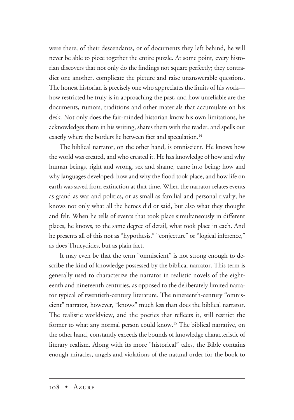were there, of their descendants, or of documents they left behind, he will never be able to piece together the entire puzzle. At some point, every historian discovers that not only do the findings not square perfectly; they contradict one another, complicate the picture and raise unanswerable questions. The honest historian is precisely one who appreciates the limits of his work how restricted he truly is in approaching the past, and how unreliable are the documents, rumors, traditions and other materials that accumulate on his desk. Not only does the fair-minded historian know his own limitations, he acknowledges them in his writing, shares them with the reader, and spells out exactly where the borders lie between fact and speculation.<sup>14</sup>

The biblical narrator, on the other hand, is omniscient. He knows how the world was created, and who created it. He has knowledge of how and why human beings, right and wrong, sex and shame, came into being; how and why languages developed; how and why the flood took place, and how life on earth was saved from extinction at that time. When the narrator relates events as grand as war and politics, or as small as familial and personal rivalry, he knows not only what all the heroes did or said, but also what they thought and felt. When he tells of events that took place simultaneously in different places, he knows, to the same degree of detail, what took place in each. And he presents all of this not as "hypothesis," "conjecture" or "logical inference," as does Thucydides, but as plain fact.

It may even be that the term "omniscient" is not strong enough to describe the kind of knowledge possessed by the biblical narrator. This term is generally used to characterize the narrator in realistic novels of the eighteenth and nineteenth centuries, as opposed to the deliberately limited narrator typical of twentieth-century literature. The nineteenth-century "omniscient" narrator, however, "knows" much less than does the biblical narrator. The realistic worldview, and the poetics that reflects it, still restrict the former to what any normal person could know.15 The biblical narrative, on the other hand, constantly exceeds the bounds of knowledge characteristic of literary realism. Along with its more "historical" tales, the Bible contains enough miracles, angels and violations of the natural order for the book to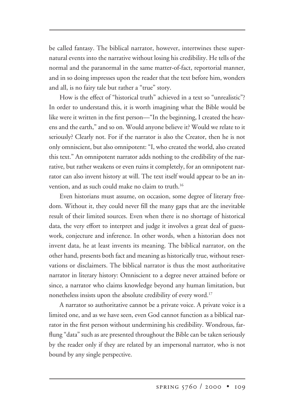be called fantasy. The biblical narrator, however, intertwines these supernatural events into the narrative without losing his credibility. He tells of the normal and the paranormal in the same matter-of-fact, reportorial manner, and in so doing impresses upon the reader that the text before him, wonders and all, is no fairy tale but rather a "true" story.

How is the effect of "historical truth" achieved in a text so "unrealistic"? In order to understand this, it is worth imagining what the Bible would be like were it written in the first person—"In the beginning, I created the heavens and the earth," and so on. Would anyone believe it? Would we relate to it seriously? Clearly not. For if the narrator is also the Creator, then he is not only omniscient, but also omnipotent: "I, who created the world, also created this text." An omnipotent narrator adds nothing to the credibility of the narrative, but rather weakens or even ruins it completely, for an omnipotent narrator can also invent history at will. The text itself would appear to be an invention, and as such could make no claim to truth.<sup>16</sup>

Even historians must assume, on occasion, some degree of literary freedom. Without it, they could never fill the many gaps that are the inevitable result of their limited sources. Even when there is no shortage of historical data, the very effort to interpret and judge it involves a great deal of guesswork, conjecture and inference. In other words, when a historian does not invent data, he at least invents its meaning. The biblical narrator, on the other hand, presents both fact and meaning as historically true, without reservations or disclaimers. The biblical narrator is thus the most authoritative narrator in literary history: Omniscient to a degree never attained before or since, a narrator who claims knowledge beyond any human limitation, but nonetheless insists upon the absolute credibility of every word.<sup>17</sup>

A narrator so authoritative cannot be a private voice. A private voice is a limited one, and as we have seen, even God cannot function as a biblical narrator in the first person without undermining his credibility. Wondrous, farflung "data" such as are presented throughout the Bible can be taken seriously by the reader only if they are related by an impersonal narrator, who is not bound by any single perspective.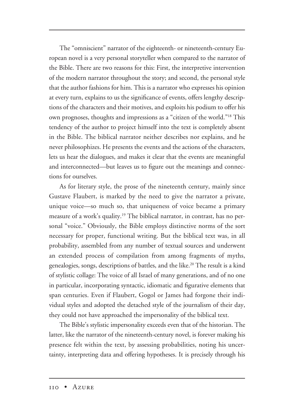The "omniscient" narrator of the eighteenth- or nineteenth-century European novel is a very personal storyteller when compared to the narrator of the Bible. There are two reasons for this: First, the interpretive intervention of the modern narrator throughout the story; and second, the personal style that the author fashions for him. This is a narrator who expresses his opinion at every turn, explains to us the significance of events, offers lengthy descriptions of the characters and their motives, and exploits his podium to offer his own prognoses, thoughts and impressions as a "citizen of the world."18 This tendency of the author to project himself into the text is completely absent in the Bible. The biblical narrator neither describes nor explains, and he never philosophizes. He presents the events and the actions of the characters, lets us hear the dialogues, and makes it clear that the events are meaningful and interconnected—but leaves us to figure out the meanings and connections for ourselves.

As for literary style, the prose of the nineteenth century, mainly since Gustave Flaubert, is marked by the need to give the narrator a private, unique voice—so much so, that uniqueness of voice became a primary measure of a work's quality.19 The biblical narrator, in contrast, has no personal "voice." Obviously, the Bible employs distinctive norms of the sort necessary for proper, functional writing. But the biblical text was, in all probability, assembled from any number of textual sources and underwent an extended process of compilation from among fragments of myths, genealogies, songs, descriptions of battles, and the like.<sup>20</sup> The result is a kind of stylistic collage: The voice of all Israel of many generations, and of no one in particular, incorporating syntactic, idiomatic and figurative elements that span centuries. Even if Flaubert, Gogol or James had forgone their individual styles and adopted the detached style of the journalism of their day, they could not have approached the impersonality of the biblical text.

The Bible's stylistic impersonality exceeds even that of the historian. The latter, like the narrator of the nineteenth-century novel, is forever making his presence felt within the text, by assessing probabilities, noting his uncertainty, interpreting data and offering hypotheses. It is precisely through his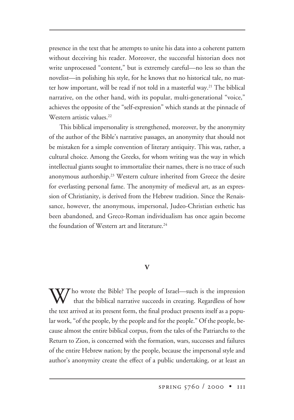presence in the text that he attempts to unite his data into a coherent pattern without deceiving his reader. Moreover, the successful historian does not write unprocessed "content," but is extremely careful—no less so than the novelist—in polishing his style, for he knows that no historical tale, no matter how important, will be read if not told in a masterful way.<sup>21</sup> The biblical narrative, on the other hand, with its popular, multi-generational "voice," achieves the opposite of the "self-expression" which stands at the pinnacle of Western artistic values.<sup>22</sup>

This biblical impersonality is strengthened, moreover, by the anonymity of the author of the Bible's narrative passages, an anonymity that should not be mistaken for a simple convention of literary antiquity. This was, rather, a cultural choice. Among the Greeks, for whom writing was the way in which intellectual giants sought to immortalize their names, there is no trace of such anonymous authorship.<sup>23</sup> Western culture inherited from Greece the desire for everlasting personal fame. The anonymity of medieval art, as an expression of Christianity, is derived from the Hebrew tradition. Since the Renaissance, however, the anonymous, impersonal, Judeo-Christian esthetic has been abandoned, and Greco-Roman individualism has once again become the foundation of Western art and literature.<sup>24</sup>

# **V**

 $\mathbf{W}$  ho wrote the Bible? The people of Israel—such is the impression that the biblical narrative succeeds in creating. Regardless of how the text arrived at its present form, the final product presents itself as a popular work, "of the people, by the people and for the people." Of the people, because almost the entire biblical corpus, from the tales of the Patriarchs to the Return to Zion, is concerned with the formation, wars, successes and failures of the entire Hebrew nation; by the people, because the impersonal style and author's anonymity create the effect of a public undertaking, or at least an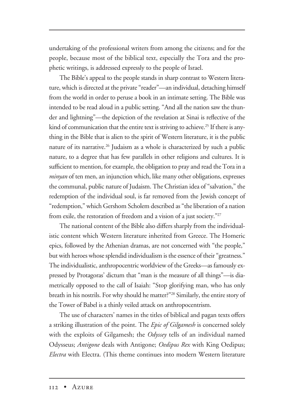undertaking of the professional writers from among the citizens; and for the people, because most of the biblical text, especially the Tora and the prophetic writings, is addressed expressly to the people of Israel.

The Bible's appeal to the people stands in sharp contrast to Western literature, which is directed at the private "reader"—an individual, detaching himself from the world in order to peruse a book in an intimate setting. The Bible was intended to be read aloud in a public setting. "And all the nation saw the thunder and lightning"—the depiction of the revelation at Sinai is reflective of the kind of communication that the entire text is striving to achieve.<sup>25</sup> If there is anything in the Bible that is alien to the spirit of Western literature, it is the public nature of its narrative.<sup>26</sup> Judaism as a whole is characterized by such a public nature, to a degree that has few parallels in other religions and cultures. It is sufficient to mention, for example, the obligation to pray and read the Tora in a *minyan* of ten men, an injunction which, like many other obligations, expresses the communal, public nature of Judaism. The Christian idea of "salvation," the redemption of the individual soul, is far removed from the Jewish concept of "redemption," which Gershom Scholem described as "the liberation of a nation from exile, the restoration of freedom and a vision of a just society."27

The national content of the Bible also differs sharply from the individualistic content which Western literature inherited from Greece. The Homeric epics, followed by the Athenian dramas, are not concerned with "the people," but with heroes whose splendid individualism is the essence of their "greatness." The individualistic, anthropocentric worldview of the Greeks—as famously expressed by Protagoras' dictum that "man is the measure of all things"—is diametrically opposed to the call of Isaiah: "Stop glorifying man, who has only breath in his nostrils. For why should he matter?"28 Similarly, the entire story of the Tower of Babel is a thinly veiled attack on anthropocentrism.

The use of characters' names in the titles of biblical and pagan texts offers a striking illustration of the point. The *Epic of Gilgamesh* is concerned solely with the exploits of Gilgamesh; the *Odyssey* tells of an individual named Odysseus; *Antigone* deals with Antigone; *Oedipus Rex* with King Oedipus; *Electra* with Electra. (This theme continues into modern Western literature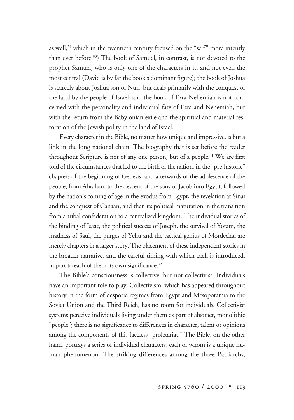as well,<sup>29</sup> which in the twentieth century focused on the "self" more intently than ever before.30) The book of Samuel, in contrast, is not devoted to the prophet Samuel, who is only one of the characters in it, and not even the most central (David is by far the book's dominant figure); the book of Joshua is scarcely about Joshua son of Nun, but deals primarily with the conquest of the land by the people of Israel; and the book of Ezra-Nehemiah is not concerned with the personality and individual fate of Ezra and Nehemiah, but with the return from the Babylonian exile and the spiritual and material restoration of the Jewish polity in the land of Israel.

Every character in the Bible, no matter how unique and impressive, is but a link in the long national chain. The biography that is set before the reader throughout Scripture is not of any one person, but of a people.<sup>31</sup> We are first told of the circumstances that led to the birth of the nation, in the "pre-historic" chapters of the beginning of Genesis, and afterwards of the adolescence of the people, from Abraham to the descent of the sons of Jacob into Egypt, followed by the nation's coming of age in the exodus from Egypt, the revelation at Sinai and the conquest of Canaan, and then its political maturation in the transition from a tribal confederation to a centralized kingdom. The individual stories of the binding of Isaac, the political success of Joseph, the survival of Yotam, the madness of Saul, the purges of Yehu and the tactical genius of Mordechai are merely chapters in a larger story. The placement of these independent stories in the broader narrative, and the careful timing with which each is introduced, impart to each of them its own significance.<sup>32</sup>

The Bible's consciousness is collective, but not collectivist. Individuals have an important role to play. Collectivism, which has appeared throughout history in the form of despotic regimes from Egypt and Mesopotamia to the Soviet Union and the Third Reich, has no room for individuals. Collectivist systems perceive individuals living under them as part of abstract, monolithic "people"; there is no significance to differences in character, talent or opinions among the components of this faceless "proletariat." The Bible, on the other hand, portrays a series of individual characters, each of whom is a unique human phenomenon. The striking differences among the three Patriarchs,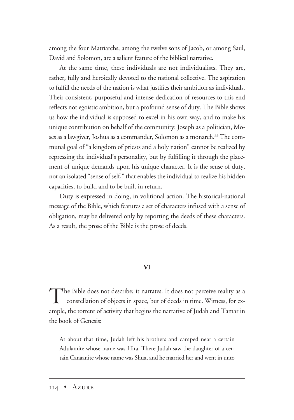among the four Matriarchs, among the twelve sons of Jacob, or among Saul, David and Solomon, are a salient feature of the biblical narrative.

At the same time, these individuals are not individualists. They are, rather, fully and heroically devoted to the national collective. The aspiration to fulfill the needs of the nation is what justifies their ambition as individuals. Their consistent, purposeful and intense dedication of resources to this end reflects not egoistic ambition, but a profound sense of duty. The Bible shows us how the individual is supposed to excel in his own way, and to make his unique contribution on behalf of the community: Joseph as a politician, Moses as a lawgiver, Joshua as a commander, Solomon as a monarch.<sup>33</sup> The communal goal of "a kingdom of priests and a holy nation" cannot be realized by repressing the individual's personality, but by fulfilling it through the placement of unique demands upon his unique character. It is the sense of duty, not an isolated "sense of self," that enables the individual to realize his hidden capacities, to build and to be built in return.

Duty is expressed in doing, in volitional action. The historical-national message of the Bible, which features a set of characters infused with a sense of obligation, may be delivered only by reporting the deeds of these characters. As a result, the prose of the Bible is the prose of deeds.

#### **VI**

The Bible does not describe; it narrates. It does not perceive reality as a constellation of objects in space, but of deeds in time. Witness, for example, the torrent of activity that begins the narrative of Judah and Tamar in the book of Genesis:

At about that time, Judah left his brothers and camped near a certain Adulamite whose name was Hira. There Judah saw the daughter of a certain Canaanite whose name was Shua, and he married her and went in unto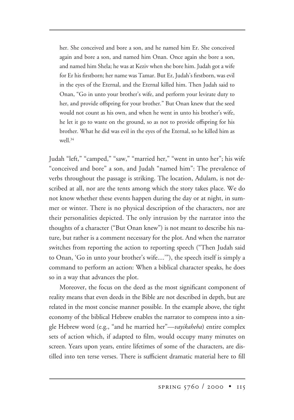her. She conceived and bore a son, and he named him Er. She conceived again and bore a son, and named him Onan. Once again she bore a son, and named him Shela; he was at Keziv when she bore him. Judah got a wife for Er his firstborn; her name was Tamar. But Er, Judah's firstborn, was evil in the eyes of the Eternal, and the Eternal killed him. Then Judah said to Onan, "Go in unto your brother's wife, and perform your levirate duty to her, and provide offspring for your brother." But Onan knew that the seed would not count as his own, and when he went in unto his brother's wife, he let it go to waste on the ground, so as not to provide offspring for his brother. What he did was evil in the eyes of the Eternal, so he killed him as well  $34$ 

Judah "left," "camped," "saw," "married her," "went in unto her"; his wife "conceived and bore" a son, and Judah "named him": The prevalence of verbs throughout the passage is striking. The location, Adulam, is not described at all, nor are the tents among which the story takes place. We do not know whether these events happen during the day or at night, in summer or winter. There is no physical description of the characters, nor are their personalities depicted. The only intrusion by the narrator into the thoughts of a character ("But Onan knew") is not meant to describe his nature, but rather is a comment necessary for the plot. And when the narrator switches from reporting the action to reporting speech ("Then Judah said to Onan, 'Go in unto your brother's wife....'"), the speech itself is simply a command to perform an action: When a biblical character speaks, he does so in a way that advances the plot.

Moreover, the focus on the deed as the most significant component of reality means that even deeds in the Bible are not described in depth, but are related in the most concise manner possible. In the example above, the tight economy of the biblical Hebrew enables the narrator to compress into a single Hebrew word (e.g., "and he married her"—*vayikaheha*) entire complex sets of action which, if adapted to film, would occupy many minutes on screen. Years upon years, entire lifetimes of some of the characters, are distilled into ten terse verses. There is sufficient dramatic material here to fill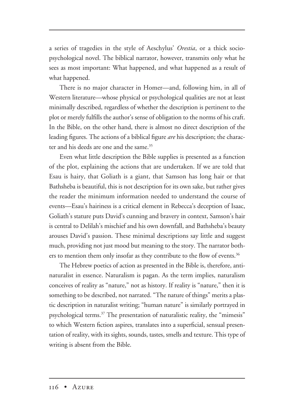a series of tragedies in the style of Aeschylus' *Orestia*, or a thick sociopsychological novel. The biblical narrator, however, transmits only what he sees as most important: What happened, and what happened as a result of what happened.

There is no major character in Homer—and, following him, in all of Western literature—whose physical or psychological qualities are not at least minimally described, regardless of whether the description is pertinent to the plot or merely fulfills the author's sense of obligation to the norms of his craft. In the Bible, on the other hand, there is almost no direct description of the leading figures. The actions of a biblical figure *are* his description; the character and his deeds are one and the same.<sup>35</sup>

Even what little description the Bible supplies is presented as a function of the plot, explaining the actions that are undertaken. If we are told that Esau is hairy, that Goliath is a giant, that Samson has long hair or that Bathsheba is beautiful, this is not description for its own sake, but rather gives the reader the minimum information needed to understand the course of events—Esau's hairiness is a critical element in Rebecca's deception of Isaac, Goliath's stature puts David's cunning and bravery in context, Samson's hair is central to Delilah's mischief and his own downfall, and Bathsheba's beauty arouses David's passion. These minimal descriptions say little and suggest much, providing not just mood but meaning to the story. The narrator bothers to mention them only insofar as they contribute to the flow of events.<sup>36</sup>

The Hebrew poetics of action as presented in the Bible is, therefore, antinaturalist in essence. Naturalism is pagan. As the term implies, naturalism conceives of reality as "nature," not as history. If reality is "nature," then it is something to be described, not narrated. "The nature of things" merits a plastic description in naturalist writing; "human nature" is similarly portrayed in psychological terms.<sup>37</sup> The presentation of naturalistic reality, the "mimesis" to which Western fiction aspires, translates into a superficial, sensual presentation of reality, with its sights, sounds, tastes, smells and texture. This type of writing is absent from the Bible.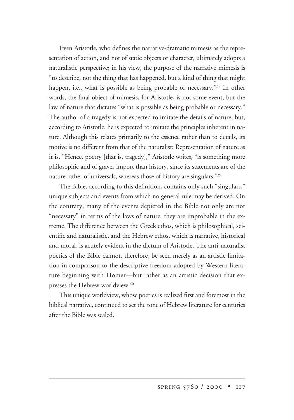Even Aristotle, who defines the narrative-dramatic mimesis as the representation of action, and not of static objects or character, ultimately adopts a naturalistic perspective; in his view, the purpose of the narrative mimesis is "to describe, not the thing that has happened, but a kind of thing that might happen, i.e., what is possible as being probable or necessary."<sup>38</sup> In other words, the final object of mimesis, for Aristotle, is not some event, but the law of nature that dictates "what is possible as being probable or necessary." The author of a tragedy is not expected to imitate the details of nature, but, according to Aristotle, he is expected to imitate the principles inherent in nature. Although this relates primarily to the essence rather than to details, its motive is no different from that of the naturalist: Representation of nature as it is. "Hence, poetry [that is, tragedy]," Aristotle writes, "is something more philosophic and of graver import than history, since its statements are of the nature rather of universals, whereas those of history are singulars."39

The Bible, according to this definition, contains only such "singulars," unique subjects and events from which no general rule may be derived. On the contrary, many of the events depicted in the Bible not only are not "necessary" in terms of the laws of nature, they are improbable in the extreme. The difference between the Greek ethos, which is philosophical, scientific and naturalistic, and the Hebrew ethos, which is narrative, historical and moral, is acutely evident in the dictum of Aristotle. The anti-naturalist poetics of the Bible cannot, therefore, be seen merely as an artistic limitation in comparison to the descriptive freedom adopted by Western literature beginning with Homer—but rather as an artistic decision that expresses the Hebrew worldview.<sup>40</sup>

This unique worldview, whose poetics is realized first and foremost in the biblical narrative, continued to set the tone of Hebrew literature for centuries after the Bible was sealed.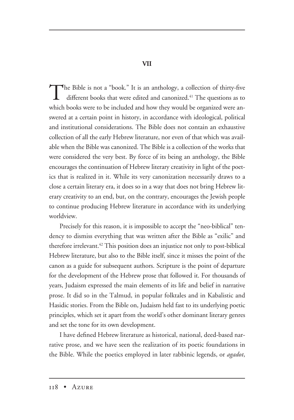**VII**

The Bible is not a "book." It is an anthology, a collection of thirty-five different books that were edited and canonized.<sup>41</sup> The questions as to which books were to be included and how they would be organized were answered at a certain point in history, in accordance with ideological, political and institutional considerations. The Bible does not contain an exhaustive collection of all the early Hebrew literature, nor even of that which was available when the Bible was canonized. The Bible is a collection of the works that were considered the very best. By force of its being an anthology, the Bible encourages the continuation of Hebrew literary creativity in light of the poetics that is realized in it. While its very canonization necessarily draws to a close a certain literary era, it does so in a way that does not bring Hebrew literary creativity to an end, but, on the contrary, encourages the Jewish people to continue producing Hebrew literature in accordance with its underlying worldview.

Precisely for this reason, it is impossible to accept the "neo-biblical" tendency to dismiss everything that was written after the Bible as "exilic" and therefore irrelevant.<sup>42</sup> This position does an injustice not only to post-biblical Hebrew literature, but also to the Bible itself, since it misses the point of the canon as a guide for subsequent authors. Scripture is the point of departure for the development of the Hebrew prose that followed it. For thousands of years, Judaism expressed the main elements of its life and belief in narrative prose. It did so in the Talmud, in popular folktales and in Kabalistic and Hasidic stories. From the Bible on, Judaism held fast to its underlying poetic principles, which set it apart from the world's other dominant literary genres and set the tone for its own development.

I have defined Hebrew literature as historical, national, deed-based narrative prose, and we have seen the realization of its poetic foundations in the Bible. While the poetics employed in later rabbinic legends, or *agadot*,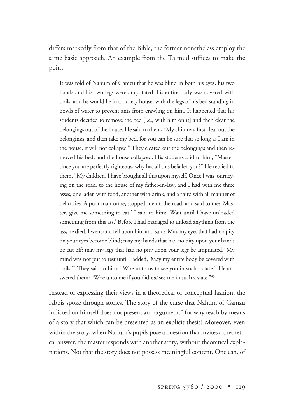differs markedly from that of the Bible, the former nonetheless employ the same basic approach. An example from the Talmud suffices to make the point:

It was told of Nahum of Gamzu that he was blind in both his eyes, his two hands and his two legs were amputated, his entire body was covered with boils, and he would lie in a rickety house, with the legs of his bed standing in bowls of water to prevent ants from crawling on him. It happened that his students decided to remove the bed [i.e., with him on it] and then clear the belongings out of the house. He said to them, "My children, first clear out the belongings, and then take my bed, for you can be sure that so long as I am in the house, it will not collapse." They cleared out the belongings and then removed his bed, and the house collapsed. His students said to him, "Master, since you are perfectly righteous, why has all this befallen you?" He replied to them, "My children, I have brought all this upon myself. Once I was journeying on the road, to the house of my father-in-law, and I had with me three asses, one laden with food, another with drink, and a third with all manner of delicacies. A poor man came, stopped me on the road, and said to me: 'Master, give me something to eat.' I said to him: 'Wait until I have unloaded something from this ass.' Before I had managed to unload anything from the ass, he died. I went and fell upon him and said: 'May my eyes that had no pity on your eyes become blind; may my hands that had no pity upon your hands be cut off; may my legs that had no pity upon your legs be amputated.' My mind was not put to rest until I added, 'May my entire body be covered with boils.'" They said to him: "Woe unto us to see you in such a state." He answered them: "Woe unto me if you did *not* see me in such a state."43

Instead of expressing their views in a theoretical or conceptual fashion, the rabbis spoke through stories. The story of the curse that Nahum of Gamzu inflicted on himself does not present an "argument," for why teach by means of a story that which can be presented as an explicit thesis? Moreover, even within the story, when Nahum's pupils pose a question that invites a theoretical answer, the master responds with another story, without theoretical explanations. Not that the story does not possess meaningful content. One can, of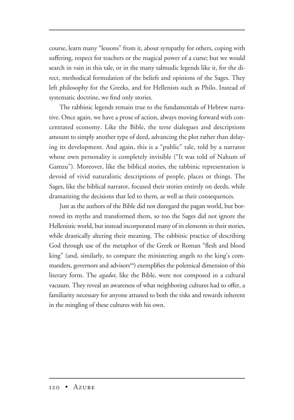course, learn many "lessons" from it, about sympathy for others, coping with suffering, respect for teachers or the magical power of a curse; but we would search in vain in this tale, or in the many talmudic legends like it, for the direct, methodical formulation of the beliefs and opinions of the Sages. They left philosophy for the Greeks, and for Hellenists such as Philo. Instead of systematic doctrine, we find only stories.

The rabbinic legends remain true to the fundamentals of Hebrew narrative. Once again, we have a prose of action, always moving forward with concentrated economy. Like the Bible, the terse dialogues and descriptions amount to simply another type of deed, advancing the plot rather than delaying its development. And again, this is a "public" tale, told by a narrator whose own personality is completely invisible ("It was told of Nahum of Gamzu"). Moreover, like the biblical stories, the rabbinic representation is devoid of vivid naturalistic descriptions of people, places or things. The Sages, like the biblical narrator, focused their stories entirely on deeds, while dramatizing the decisions that led to them, as well as their consequences.

Just as the authors of the Bible did not disregard the pagan world, but borrowed its myths and transformed them, so too the Sages did not ignore the Hellenistic world, but instead incorporated many of its elements in their stories, while drastically altering their meaning. The rabbinic practice of describing God through use of the metaphor of the Greek or Roman "flesh and blood king" (and, similarly, to compare the ministering angels to the king's commanders, governors and advisors $44$ ) exemplifies the polemical dimension of this literary form. The *agadot*, like the Bible, were not composed in a cultural vacuum. They reveal an awareness of what neighboring cultures had to offer, a familiarity necessary for anyone attuned to both the risks and rewards inherent in the mingling of these cultures with his own.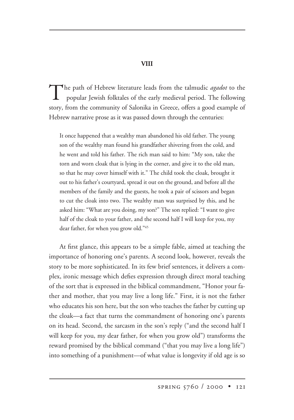**VIII**

The path of Hebrew literature leads from the talmudic *agadot* to the popular Jewish folktales of the early medieval period. The following story, from the community of Salonika in Greece, offers a good example of Hebrew narrative prose as it was passed down through the centuries:

It once happened that a wealthy man abandoned his old father. The young son of the wealthy man found his grandfather shivering from the cold, and he went and told his father. The rich man said to him: "My son, take the torn and worn cloak that is lying in the corner, and give it to the old man, so that he may cover himself with it." The child took the cloak, brought it out to his father's courtyard, spread it out on the ground, and before all the members of the family and the guests, he took a pair of scissors and began to cut the cloak into two. The wealthy man was surprised by this, and he asked him: "What are you doing, my son?" The son replied: "I want to give half of the cloak to your father, and the second half I will keep for you, my dear father, for when you grow old."45

At first glance, this appears to be a simple fable, aimed at teaching the importance of honoring one's parents. A second look, however, reveals the story to be more sophisticated. In its few brief sentences, it delivers a complex, ironic message which defies expression through direct moral teaching of the sort that is expressed in the biblical commandment, "Honor your father and mother, that you may live a long life." First, it is not the father who educates his son here, but the son who teaches the father by cutting up the cloak—a fact that turns the commandment of honoring one's parents on its head. Second, the sarcasm in the son's reply ("and the second half I will keep for you, my dear father, for when you grow old") transforms the reward promised by the biblical command ("that you may live a long life") into something of a punishment—of what value is longevity if old age is so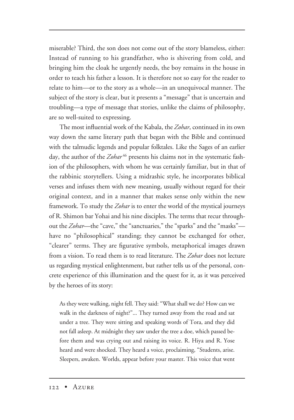miserable? Third, the son does not come out of the story blameless, either: Instead of running to his grandfather, who is shivering from cold, and bringing him the cloak he urgently needs, the boy remains in the house in order to teach his father a lesson. It is therefore not so easy for the reader to relate to him—or to the story as a whole—in an unequivocal manner. The subject of the story is clear, but it presents a "message" that is uncertain and troubling—a type of message that stories, unlike the claims of philosophy, are so well-suited to expressing.

The most influential work of the Kabala, the *Zohar*, continued in its own way down the same literary path that began with the Bible and continued with the talmudic legends and popular folktales. Like the Sages of an earlier day, the author of the Zohar<sup>46</sup> presents his claims not in the systematic fashion of the philosophers, with whom he was certainly familiar, but in that of the rabbinic storytellers. Using a midrashic style, he incorporates biblical verses and infuses them with new meaning, usually without regard for their original context, and in a manner that makes sense only within the new framework. To study the *Zohar* is to enter the world of the mystical journeys of R. Shimon bar Yohai and his nine disciples. The terms that recur throughout the *Zohar*—the "cave," the "sanctuaries," the "sparks" and the "masks" have no "philosophical" standing; they cannot be exchanged for other, "clearer" terms. They are figurative symbols, metaphorical images drawn from a vision. To read them is to read literature. The *Zohar* does not lecture us regarding mystical enlightenment, but rather tells us of the personal, concrete experience of this illumination and the quest for it, as it was perceived by the heroes of its story:

As they were walking, night fell. They said: "What shall we do? How can we walk in the darkness of night?"... They turned away from the road and sat under a tree. They were sitting and speaking words of Tora, and they did not fall asleep. At midnight they saw under the tree a doe, which passed before them and was crying out and raising its voice. R. Hiya and R. Yose heard and were shocked. They heard a voice, proclaiming, "Students, arise. Sleepers, awaken. Worlds, appear before your master. This voice that went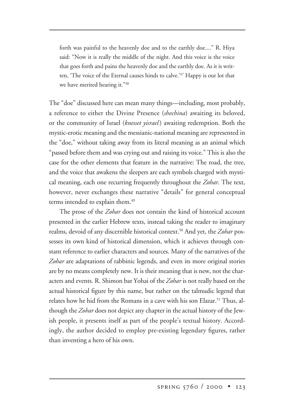forth was painful to the heavenly doe and to the earthly doe...." R. Hiya said: "Now it is really the middle of the night. And this voice is the voice that goes forth and pains the heavenly doe and the earthly doe. As it is written, 'The voice of the Eternal causes hinds to calve.<sup>'47</sup> Happy is our lot that we have merited hearing it."48

The "doe" discussed here can mean many things—including, most probably, a reference to either the Divine Presence (*shechina*) awaiting its beloved, or the community of Israel (*knesset yisrael*) awaiting redemption. Both the mystic-erotic meaning and the messianic-national meaning are represented in the "doe," without taking away from its literal meaning as an animal which "passed before them and was crying out and raising its voice." This is also the case for the other elements that feature in the narrative: The road, the tree, and the voice that awakens the sleepers are each symbols charged with mystical meaning, each one recurring frequently throughout the *Zohar*. The text, however, never exchanges these narrative "details" for general conceptual terms intended to explain them.<sup>49</sup>

The prose of the *Zohar* does not contain the kind of historical account presented in the earlier Hebrew texts, instead taking the reader to imaginary realms, devoid of any discernible historical context.50 And yet, the *Zohar* possesses its own kind of historical dimension, which it achieves through constant reference to earlier characters and sources. Many of the narratives of the *Zohar* are adaptations of rabbinic legends, and even its more original stories are by no means completely new. It is their meaning that is new, not the characters and events. R. Shimon bar Yohai of the *Zohar* is not really based on the actual historical figure by this name, but rather on the talmudic legend that relates how he hid from the Romans in a cave with his son Elazar.<sup>51</sup> Thus, although the *Zohar* does not depict any chapter in the actual history of the Jewish people, it presents itself as part of the people's textual history. Accordingly, the author decided to employ pre-existing legendary figures, rather than inventing a hero of his own.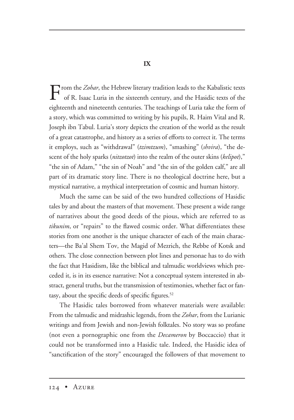**IX**

From the *Zohar*, the Hebrew literary tradition leads to the Kabalistic texts of R. Issued J. which is a straight of R. Issued J. which is a straight of R. Issued J. which is a straight of R. Issued J. which is a straight of R. Isaac Luria in the sixteenth century, and the Hasidic texts of the eighteenth and nineteenth centuries. The teachings of Luria take the form of a story, which was committed to writing by his pupils, R. Haim Vital and R. Joseph ibn Tabul. Luria's story depicts the creation of the world as the result of a great catastrophe, and history as a series of efforts to correct it. The terms it employs, such as "withdrawal" (*tzimtzum*), "smashing" (*shvira*), "the descent of the holy sparks (*nitzotzot*) into the realm of the outer skins (*kelipot*)," "the sin of Adam," "the sin of Noah" and "the sin of the golden calf," are all part of its dramatic story line. There is no theological doctrine here, but a mystical narrative, a mythical interpretation of cosmic and human history.

Much the same can be said of the two hundred collections of Hasidic tales by and about the masters of that movement. These present a wide range of narratives about the good deeds of the pious, which are referred to as *tikunim*, or "repairs" to the flawed cosmic order. What differentiates these stories from one another is the unique character of each of the main characters—the Ba'al Shem Tov, the Magid of Mezrich, the Rebbe of Kotsk and others. The close connection between plot lines and personae has to do with the fact that Hasidism, like the biblical and talmudic worldviews which preceded it, is in its essence narrative: Not a conceptual system interested in abstract, general truths, but the transmission of testimonies, whether fact or fantasy, about the specific deeds of specific figures.<sup>52</sup>

The Hasidic tales borrowed from whatever materials were available: From the talmudic and midrashic legends, from the *Zohar*, from the Lurianic writings and from Jewish and non-Jewish folktales. No story was so profane (not even a pornographic one from the *Decameron* by Boccaccio) that it could not be transformed into a Hasidic tale. Indeed, the Hasidic idea of "sanctification of the story" encouraged the followers of that movement to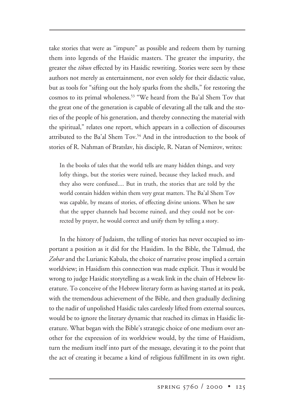take stories that were as "impure" as possible and redeem them by turning them into legends of the Hasidic masters. The greater the impurity, the greater the *tikun* effected by its Hasidic rewriting. Stories were seen by these authors not merely as entertainment, nor even solely for their didactic value, but as tools for "sifting out the holy sparks from the shells," for restoring the cosmos to its primal wholeness.<sup>53</sup> "We heard from the Ba'al Shem Tov that the great one of the generation is capable of elevating all the talk and the stories of the people of his generation, and thereby connecting the material with the spiritual," relates one report, which appears in a collection of discourses attributed to the Ba'al Shem Tov.<sup>54</sup> And in the introduction to the book of stories of R. Nahman of Bratslav, his disciple, R. Natan of Nemirov, writes:

In the books of tales that the world tells are many hidden things, and very lofty things, but the stories were ruined, because they lacked much, and they also were confused.... But in truth, the stories that are told by the world contain hidden within them very great matters. The Ba'al Shem Tov was capable, by means of stories, of effecting divine unions. When he saw that the upper channels had become ruined, and they could not be corrected by prayer, he would correct and unify them by telling a story.

In the history of Judaism, the telling of stories has never occupied so important a position as it did for the Hasidim. In the Bible, the Talmud, the *Zohar* and the Lurianic Kabala, the choice of narrative prose implied a certain worldview; in Hasidism this connection was made explicit. Thus it would be wrong to judge Hasidic storytelling as a weak link in the chain of Hebrew literature. To conceive of the Hebrew literary form as having started at its peak, with the tremendous achievement of the Bible, and then gradually declining to the nadir of unpolished Hasidic tales carelessly lifted from external sources, would be to ignore the literary dynamic that reached its climax in Hasidic literature. What began with the Bible's strategic choice of one medium over another for the expression of its worldview would, by the time of Hasidism, turn the medium itself into part of the message, elevating it to the point that the act of creating it became a kind of religious fulfillment in its own right.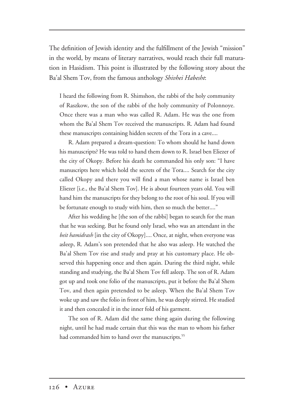The definition of Jewish identity and the fulfillment of the Jewish "mission" in the world, by means of literary narratives, would reach their full maturation in Hasidism. This point is illustrated by the following story about the Ba'al Shem Tov, from the famous anthology *Shivhei Habesht*:

I heard the following from R. Shimshon, the rabbi of the holy community of Raszkow, the son of the rabbi of the holy community of Polonnoye. Once there was a man who was called R. Adam. He was the one from whom the Ba'al Shem Tov received the manuscripts. R. Adam had found these manuscripts containing hidden secrets of the Tora in a cave....

R. Adam prepared a dream-question: To whom should he hand down his manuscripts? He was told to hand them down to R. Israel ben Eliezer of the city of Okopy. Before his death he commanded his only son: "I have manuscripts here which hold the secrets of the Tora.... Search for the city called Okopy and there you will find a man whose name is Israel ben Eliezer [i.e., the Ba'al Shem Tov]. He is about fourteen years old. You will hand him the manuscripts for they belong to the root of his soul. If you will be fortunate enough to study with him, then so much the better...."

After his wedding he [the son of the rabbi] began to search for the man that he was seeking. But he found only Israel, who was an attendant in the *beit hamidrash* [in the city of Okopy].... Once, at night, when everyone was asleep, R. Adam's son pretended that he also was asleep. He watched the Ba'al Shem Tov rise and study and pray at his customary place. He observed this happening once and then again. During the third night, while standing and studying, the Ba'al Shem Tov fell asleep. The son of R. Adam got up and took one folio of the manuscripts, put it before the Ba'al Shem Tov, and then again pretended to be asleep. When the Ba'al Shem Tov woke up and saw the folio in front of him, he was deeply stirred. He studied it and then concealed it in the inner fold of his garment.

The son of R. Adam did the same thing again during the following night, until he had made certain that this was the man to whom his father had commanded him to hand over the manuscripts.<sup>55</sup>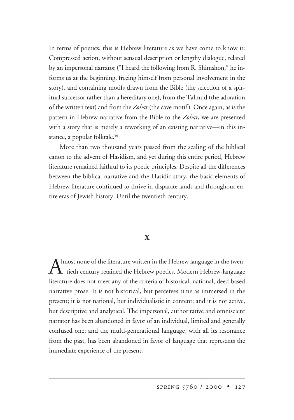In terms of poetics, this is Hebrew literature as we have come to know it: Compressed action, without sensual description or lengthy dialogue, related by an impersonal narrator ("I heard the following from R. Shimshon," he informs us at the beginning, freeing himself from personal involvement in the story), and containing motifs drawn from the Bible (the selection of a spiritual successor rather than a hereditary one), from the Talmud (the adoration of the written text) and from the *Zohar* (the cave motif ). Once again, as is the pattern in Hebrew narrative from the Bible to the *Zohar*, we are presented with a story that is merely a reworking of an existing narrative—in this instance, a popular folktale.<sup>56</sup>

More than two thousand years passed from the sealing of the biblical canon to the advent of Hasidism, and yet during this entire period, Hebrew literature remained faithful to its poetic principles. Despite all the differences between the biblical narrative and the Hasidic story, the basic elements of Hebrew literature continued to thrive in disparate lands and throughout entire eras of Jewish history. Until the twentieth century.

# **X**

Almost none of the literature written in the Hebrew language in the twen-<br>tieth century retained the Hebrew poetics. Modern Hebrew-language literature does not meet any of the criteria of historical, national, deed-based narrative prose: It is not historical, but perceives time as immersed in the present; it is not national, but individualistic in content; and it is not active, but descriptive and analytical. The impersonal, authoritative and omniscient narrator has been abandoned in favor of an individual, limited and generally confused one; and the multi-generational language, with all its resonance from the past, has been abandoned in favor of language that represents the immediate experience of the present.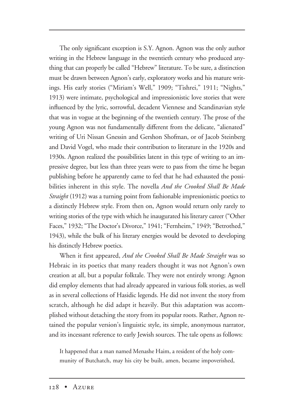The only significant exception is S.Y. Agnon. Agnon was the only author writing in the Hebrew language in the twentieth century who produced anything that can properly be called "Hebrew" literature. To be sure, a distinction must be drawn between Agnon's early, exploratory works and his mature writings. His early stories ("Miriam's Well," 1909; "Tishrei," 1911; "Nights," 1913) were intimate, psychological and impressionistic love stories that were influenced by the lyric, sorrowful, decadent Viennese and Scandinavian style that was in vogue at the beginning of the twentieth century. The prose of the young Agnon was not fundamentally different from the delicate, "alienated" writing of Uri Nissan Gnessin and Gershon Shofman, or of Jacob Steinberg and David Vogel, who made their contribution to literature in the 1920s and 1930s. Agnon realized the possibilities latent in this type of writing to an impressive degree, but less than three years were to pass from the time he began publishing before he apparently came to feel that he had exhausted the possibilities inherent in this style. The novella *And the Crooked Shall Be Made Straight* (1912) was a turning point from fashionable impressionistic poetics to a distinctly Hebrew style. From then on, Agnon would return only rarely to writing stories of the type with which he inaugurated his literary career ("Other Faces," 1932; "The Doctor's Divorce," 1941; "Fernheim," 1949; "Betrothed," 1943), while the bulk of his literary energies would be devoted to developing his distinctly Hebrew poetics.

When it first appeared, *And the Crooked Shall Be Made Straight* was so Hebraic in its poetics that many readers thought it was not Agnon's own creation at all, but a popular folktale. They were not entirely wrong: Agnon did employ elements that had already appeared in various folk stories, as well as in several collections of Hasidic legends. He did not invent the story from scratch, although he did adapt it heavily. But this adaptation was accomplished without detaching the story from its popular roots. Rather, Agnon retained the popular version's linguistic style, its simple, anonymous narrator, and its incessant reference to early Jewish sources. The tale opens as follows:

It happened that a man named Menashe Haim, a resident of the holy community of Butchatch, may his city be built, amen, became impoverished,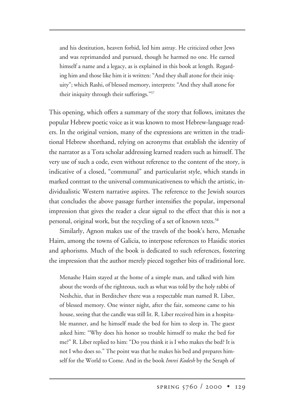and his destitution, heaven forbid, led him astray. He criticized other Jews and was reprimanded and pursued, though he harmed no one. He earned himself a name and a legacy, as is explained in this book at length. Regarding him and those like him it is written: "And they shall atone for their iniquity"; which Rashi, of blessed memory, interprets: "And they shall atone for their iniquity through their sufferings."57

This opening, which offers a summary of the story that follows, imitates the popular Hebrew poetic voice as it was known to most Hebrew-language readers. In the original version, many of the expressions are written in the traditional Hebrew shorthand, relying on acronyms that establish the identity of the narrator as a Tora scholar addressing learned readers such as himself. The very use of such a code, even without reference to the content of the story, is indicative of a closed, "communal" and particularist style, which stands in marked contrast to the universal communicativeness to which the artistic, individualistic Western narrative aspires. The reference to the Jewish sources that concludes the above passage further intensifies the popular, impersonal impression that gives the reader a clear signal to the effect that this is not a personal, original work, but the recycling of a set of known texts.<sup>58</sup>

Similarly, Agnon makes use of the travels of the book's hero, Menashe Haim, among the towns of Galicia, to interpose references to Hasidic stories and aphorisms. Much of the book is dedicated to such references, fostering the impression that the author merely pieced together bits of traditional lore.

Menashe Haim stayed at the home of a simple man, and talked with him about the words of the righteous, such as what was told by the holy rabbi of Neshchiz, that in Berditchev there was a respectable man named R. Liber, of blessed memory. One winter night, after the fair, someone came to his house, seeing that the candle was still lit. R. Liber received him in a hospitable manner, and he himself made the bed for him to sleep in. The guest asked him: "Why does his honor so trouble himself to make the bed for me?" R. Liber replied to him: "Do you think it is I who makes the bed? It is not I who does so." The point was that he makes his bed and prepares himself for the World to Come. And in the book *Imrei Kodesh* by the Seraph of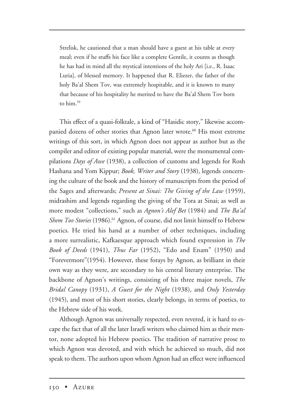Strelisk, he cautioned that a man should have a guest at his table at every meal; even if he stuffs his face like a complete Gentile, it counts as though he has had in mind all the mystical intentions of the holy Ari [i.e., R. Isaac Luria], of blessed memory. It happened that R. Eliezer, the father of the holy Ba'al Shem Tov, was extremely hospitable, and it is known to many that because of his hospitality he merited to have the Ba'al Shem Tov born to him.<sup>59</sup>

This effect of a quasi-folktale, a kind of "Hasidic story," likewise accompanied dozens of other stories that Agnon later wrote.<sup>60</sup> His most extreme writings of this sort, in which Agnon does not appear as author but as the compiler and editor of existing popular material, were the monumental compilations *Days of Awe* (1938), a collection of customs and legends for Rosh Hashana and Yom Kippur; *Book, Writer and Story* (1938), legends concerning the culture of the book and the history of manuscripts from the period of the Sages and afterwards; *Present at Sinai: The Giving of the Law* (1959), midrashim and legends regarding the giving of the Tora at Sinai; as well as more modest "collections," such as *Agnon's Alef Bet* (1984) and *The Ba'al Shem Tov Stories* (1986).<sup>61</sup> Agnon, of course, did not limit himself to Hebrew poetics. He tried his hand at a number of other techniques, including a more surrealistic, Kafkaesque approach which found expression in *The Book of Deeds* (1941), *Thus Far* (1952), "Edo and Enam" (1950) and "Forevermore"(1954). However, these forays by Agnon, as brilliant in their own way as they were, are secondary to his central literary enterprise. The backbone of Agnon's writings, consisting of his three major novels, *The Bridal Canopy* (1931), *A Guest for the Night* (1938), and *Only Yesterday* (1945), and most of his short stories, clearly belongs, in terms of poetics, to the Hebrew side of his work.

Although Agnon was universally respected, even revered, it is hard to escape the fact that of all the later Israeli writers who claimed him as their mentor, none adopted his Hebrew poetics. The tradition of narrative prose to which Agnon was devoted, and with which he achieved so much, did not speak to them. The authors upon whom Agnon had an effect were influenced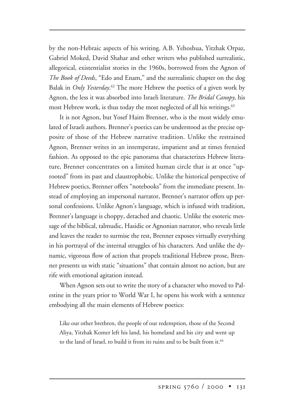by the non-Hebraic aspects of his writing. A.B. Yehoshua, Yitzhak Orpaz, Gabriel Moked, David Shahar and other writers who published surrealistic, allegorical, existentialist stories in the 1960s, borrowed from the Agnon of *The Book of Deeds*, "Edo and Enam," and the surrealistic chapter on the dog Balak in *Only Yesterday*. <sup>62</sup> The more Hebrew the poetics of a given work by Agnon, the less it was absorbed into Israeli literature. *The Bridal Canopy*, his most Hebrew work, is thus today the most neglected of all his writings.<sup>63</sup>

It is not Agnon, but Yosef Haim Brenner, who is the most widely emulated of Israeli authors. Brenner's poetics can be understood as the precise opposite of those of the Hebrew narrative tradition. Unlike the restrained Agnon, Brenner writes in an intemperate, impatient and at times frenzied fashion. As opposed to the epic panorama that characterizes Hebrew literature, Brenner concentrates on a limited human circle that is at once "uprooted" from its past and claustrophobic. Unlike the historical perspective of Hebrew poetics, Brenner offers "notebooks" from the immediate present. Instead of employing an impersonal narrator, Brenner's narrator offers up personal confessions. Unlike Agnon's language, which is infused with tradition, Brenner's language is choppy, detached and chaotic. Unlike the esoteric message of the biblical, talmudic, Hasidic or Agnonian narrator, who reveals little and leaves the reader to surmise the rest, Brenner exposes virtually everything in his portrayal of the internal struggles of his characters. And unlike the dynamic, vigorous flow of action that propels traditional Hebrew prose, Brenner presents us with static "situations" that contain almost no action, but are rife with emotional agitation instead.

When Agnon sets out to write the story of a character who moved to Palestine in the years prior to World War I, he opens his work with a sentence embodying all the main elements of Hebrew poetics:

Like our other brethren, the people of our redemption, those of the Second Aliya, Yitzhak Komer left his land, his homeland and his city and went up to the land of Israel, to build it from its ruins and to be built from it.<sup>64</sup>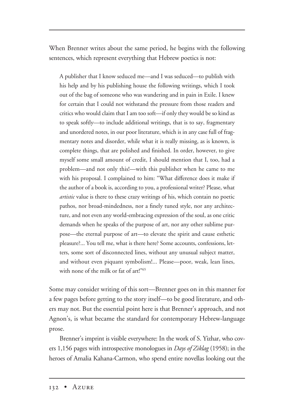When Brenner writes about the same period, he begins with the following sentences, which represent everything that Hebrew poetics is not:

A publisher that I know seduced me—and I was seduced—to publish with his help and by his publishing house the following writings, which I took out of the bag of someone who was wandering and in pain in Exile. I knew for certain that I could not withstand the pressure from those readers and critics who would claim that I am too soft—if only they would be so kind as to speak softly—to include additional writings, that is to say, fragmentary and unordered notes, in our poor literature, which is in any case full of fragmentary notes and disorder, while what it is really missing, as is known, is complete things, that are polished and finished. In order, however, to give myself some small amount of credit, I should mention that I, too, had a problem—and not only this!—with this publisher when he came to me with his proposal. I complained to him: "What difference does it make if the author of a book is, according to you, a professional writer? Please, what *artistic* value is there to these crazy writings of his, which contain no poetic pathos, nor broad-mindedness, nor a finely tuned style, nor any architecture, and not even any world-embracing expression of the soul, as one critic demands when he speaks of the purpose of art, nor any other sublime purpose—the eternal purpose of art—to elevate the spirit and cause esthetic pleasure?... You tell me, what is there here? Some accounts, confessions, letters, some sort of disconnected lines, without any unusual subject matter, and without even piquant symbolism!... Please—poor, weak, lean lines, with none of the milk or fat of art!"65

Some may consider writing of this sort—Brenner goes on in this manner for a few pages before getting to the story itself—to be good literature, and others may not. But the essential point here is that Brenner's approach, and not Agnon's, is what became the standard for contemporary Hebrew-language prose.

Brenner's imprint is visible everywhere: In the work of S. Yizhar, who covers 1,156 pages with introspective monologues in *Days of Ziklag* (1958); in the heroes of Amalia Kahana-Carmon, who spend entire novellas looking out the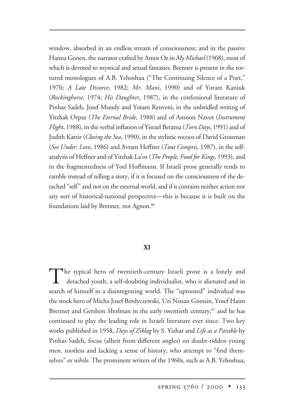window, absorbed in an endless stream of consciousness; and in the passive Hanna Gonen, the narrator crafted by Amos Oz in *My Michael* (1968), most of which is devoted to mystical and sexual fantasies. Brenner is present in the tortured monologues of A.B. Yehoshua ("The Continuing Silence of a Poet," 1970; *A Late Divorce*, 1982; *Mr. Mani*, 1990) and of Yoram Kaniuk (*Rockinghorse*, 1974; *His Daughter*, 1987), in the confessional literature of Pinhas Sadeh, Josef Mundy and Yotam Reuveni, in the unbridled writing of Yitzhak Orpaz (*The Eternal Bride*, 1988) and of Amnon Navot (*Instrument Flight*, 1988), in the verbal inflation of Yisrael Berama (*Torn Days*, 1991) and of Judith Katzir (*Closing the Sea*, 1990), in the stylistic rococo of David Grossman (*See Under: Love*, 1986) and Avram Heffner (*Tout Compris*, 1987), in the selfanalysis of Heffner and of Yitzhak La'or (*The People, Food for Kings*, 1993), and in the fragmentedness of Yoel Hoffmann. If Israeli prose generally tends to ramble instead of telling a story, if it is focused on the consciousness of the detached "self" and not on the external world, and if it contains neither action nor any sort of historical-national perspective—this is because it is built on the foundations laid by Brenner, not Agnon.<sup>66</sup>

# **XI**

The typical hero of twentieth-century Israeli prose is a lonely and detached youth, a self-doubting individualist, who is alienated and in search of himself in a disintegrating world. The "uprooted" individual was the stock hero of Micha Josef Berdyczewski, Uri Nissan Gnessin, Yosef Haim Brenner and Gershon Shofman in the early twentieth century,<sup>67</sup> and he has continued to play the leading role in Israeli literature ever since. Two key works published in 1958, *Days of Ziklag* by S. Yizhar and *Life as a Parable* by Pinhas Sadeh, focus (albeit from different angles) on doubt-ridden young men, rootless and lacking a sense of history, who attempt to "find themselves" *ex nihilo*. The prominent writers of the 1960s, such as A.B. Yehoshua,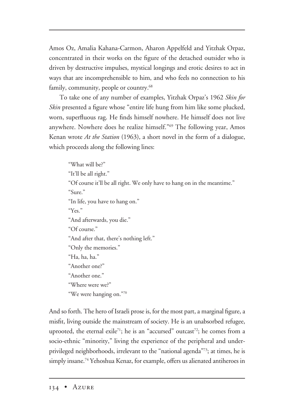Amos Oz, Amalia Kahana-Carmon, Aharon Appelfeld and Yitzhak Orpaz, concentrated in their works on the figure of the detached outsider who is driven by destructive impulses, mystical longings and erotic desires to act in ways that are incomprehensible to him, and who feels no connection to his family, community, people or country.<sup>68</sup>

To take one of any number of examples, Yitzhak Orpaz's 1962 *Skin for Skin* presented a figure whose "entire life hung from him like some plucked, worn, superfluous rag. He finds himself nowhere. He himself does not live anywhere. Nowhere does he realize himself."69 The following year, Amos Kenan wrote *At the Station* (1963), a short novel in the form of a dialogue, which proceeds along the following lines:

"What will be?" "It'll be all right." "Of course it'll be all right. We only have to hang on in the meantime." "Sure." "In life, you have to hang on." "Yes." "And afterwards, you die." "Of course." "And after that, there's nothing left." "Only the memories." "Ha, ha, ha." "Another one?" "Another one." "Where were we?" "We were hanging on."70

And so forth. The hero of Israeli prose is, for the most part, a marginal figure, a misfit, living outside the mainstream of society. He is an unabsorbed refugee, uprooted, the eternal exile<sup>71</sup>; he is an "accursed" outcast<sup>72</sup>; he comes from a socio-ethnic "minority," living the experience of the peripheral and underprivileged neighborhoods, irrelevant to the "national agenda"73; at times, he is simply insane.<sup>74</sup> Yehoshua Kenaz, for example, offers us alienated antiheroes in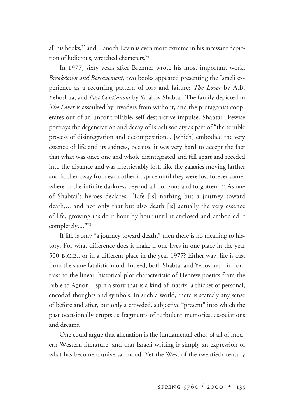all his books,75 and Hanoch Levin is even more extreme in his incessant depiction of ludicrous, wretched characters.76

In 1977, sixty years after Brenner wrote his most important work, *Breakdown and Bereavement*, two books appeared presenting the Israeli experience as a recurring pattern of loss and failure: *The Lover* by A.B. Yehoshua, and *Past Continuous* by Ya'akov Shabtai. The family depicted in *The Lover* is assaulted by invaders from without, and the protagonist cooperates out of an uncontrollable, self-destructive impulse. Shabtai likewise portrays the degeneration and decay of Israeli society as part of "the terrible process of disintegration and decomposition... [which] embodied the very essence of life and its sadness, because it was very hard to accept the fact that what was once one and whole disintegrated and fell apart and receded into the distance and was irretrievably lost, like the galaxies moving farther and farther away from each other in space until they were lost forever somewhere in the infinite darkness beyond all horizons and forgotten."77 As one of Shabtai's heroes declares: "Life [is] nothing but a journey toward death,... and not only that but also death [is] actually the very essence of life, growing inside it hour by hour until it enclosed and embodied it completely...."78

If life is only "a journey toward death," then there is no meaning to history. For what difference does it make if one lives in one place in the year 500 b.c.e., or in a different place in the year 1977? Either way, life is cast from the same fatalistic mold. Indeed, both Shabtai and Yehoshua—in contrast to the linear, historical plot characteristic of Hebrew poetics from the Bible to Agnon—spin a story that is a kind of matrix, a thicket of personal, encoded thoughts and symbols. In such a world, there is scarcely any sense of before and after, but only a crowded, subjective "present" into which the past occasionally erupts as fragments of turbulent memories, associations and dreams.

One could argue that alienation is the fundamental ethos of all of modern Western literature, and that Israeli writing is simply an expression of what has become a universal mood. Yet the West of the twentieth century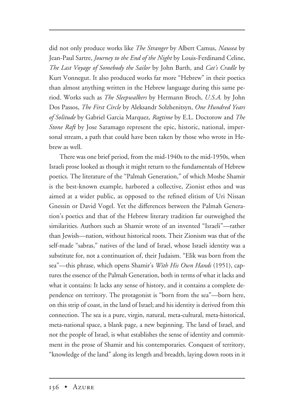did not only produce works like *The Stranger* by Albert Camus, *Nausea* by Jean-Paul Sartre, *Journey to the End of the Night* by Louis-Ferdinand Celine, *The Last Voyage of Somebody the Sailor* by John Barth, and *Cat's Cradle* by Kurt Vonnegut. It also produced works far more "Hebrew" in their poetics than almost anything written in the Hebrew language during this same period. Works such as *The Sleepwalkers* by Hermann Broch, *U.S.A.* by John Dos Passos, *The First Circle* by Aleksandr Solzhenitsyn, *One Hundred Years of Solitude* by Gabriel Garcia Marquez, *Ragtime* by E.L. Doctorow and *The Stone Raft* by Jose Saramago represent the epic, historic, national, impersonal stream, a path that could have been taken by those who wrote in Hebrew as well.

There was one brief period, from the mid-1940s to the mid-1950s, when Israeli prose looked as though it might return to the fundamentals of Hebrew poetics. The literature of the "Palmah Generation," of which Moshe Shamir is the best-known example, harbored a collective, Zionist ethos and was aimed at a wider public, as opposed to the refined elitism of Uri Nissan Gnessin or David Vogel. Yet the differences between the Palmah Generation's poetics and that of the Hebrew literary tradition far outweighed the similarities. Authors such as Shamir wrote of an invented "Israeli"—rather than Jewish—nation, without historical roots. Their Zionism was that of the self-made "sabras," natives of the land of Israel, whose Israeli identity was a substitute for, not a continuation of, their Judaism. "Elik was born from the sea"—this phrase, which opens Shamir's *With His Own Hands* (1951), captures the essence of the Palmah Generation, both in terms of what it lacks and what it contains: It lacks any sense of history, and it contains a complete dependence on territory. The protagonist is "born from the sea"—born here, on this strip of coast, in the land of Israel; and his identity is derived from this connection. The sea is a pure, virgin, natural, meta-cultural, meta-historical, meta-national space, a blank page, a new beginning. The land of Israel, and not the people of Israel, is what establishes the sense of identity and commitment in the prose of Shamir and his contemporaries. Conquest of territory, "knowledge of the land" along its length and breadth, laying down roots in it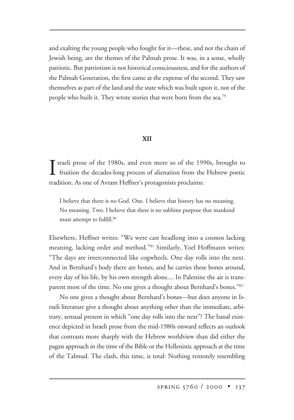and exalting the young people who fought for it—these, and not the chain of Jewish being, are the themes of the Palmah prose. It was, in a sense, wholly patriotic. But patriotism is not historical consciousness, and for the authors of the Palmah Generation, the first came at the expense of the second. They saw themselves as part of the land and the state which was built upon it, not of the people who built it. They wrote stories that were born from the sea.<sup>79</sup>

# **XII**

I sraeli prose of the 1980s, and even more so of the 1990s, brought to fruition the decades-long process of alienation from the Hebrew poetic fruition the decades-long process of alienation from the Hebrew poetic tradition. As one of Avram Heffner's protagonists proclaims:

I believe that there is no God. One. I believe that history has no meaning. No meaning. Two. I believe that there is no sublime purpose that mankind must attempt to fulfill.<sup>80</sup>

Elsewhere, Heffner writes: "We were cast headlong into a cosmos lacking meaning, lacking order and method."81 Similarly, Yoel Hoffmann writes: "The days are interconnected like cogwheels. One day rolls into the next. And in Bernhard's body there are bones, and he carries these bones around, every day of his life, by his own strength alone.... In Palestine the air is transparent most of the time. No one gives a thought about Bernhard's bones."82

No one gives a thought about Bernhard's bones—but does anyone in Israeli literature give a thought about anything other than the immediate, arbitrary, sensual present in which "one day rolls into the next"? The banal existence depicted in Israeli prose from the mid-1980s onward reflects an outlook that contrasts more sharply with the Hebrew worldview than did either the pagan approach in the time of the Bible or the Hellenistic approach at the time of the Talmud. The clash, this time, is total: Nothing remotely resembling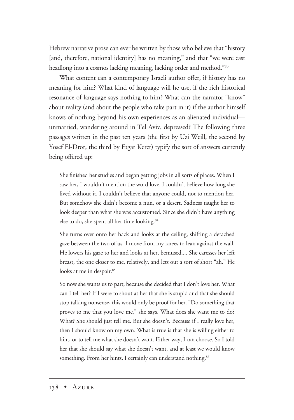Hebrew narrative prose can ever be written by those who believe that "history [and, therefore, national identity] has no meaning," and that "we were cast headlong into a cosmos lacking meaning, lacking order and method."83

What content can a contemporary Israeli author offer, if history has no meaning for him? What kind of language will he use, if the rich historical resonance of language says nothing to him? What can the narrator "know" about reality (and about the people who take part in it) if the author himself knows of nothing beyond his own experiences as an alienated individual unmarried, wandering around in Tel Aviv, depressed? The following three passages written in the past ten years (the first by Uzi Weill, the second by Yosef El-Dror, the third by Etgar Keret) typify the sort of answers currently being offered up:

She finished her studies and began getting jobs in all sorts of places. When I saw her, I wouldn't mention the word love. I couldn't believe how long she lived without it. I couldn't believe that anyone could, not to mention her. But somehow she didn't become a nun, or a desert. Sadness taught her to look deeper than what she was accustomed. Since she didn't have anything else to do, she spent all her time looking.84

She turns over onto her back and looks at the ceiling, shifting a detached gaze between the two of us. I move from my knees to lean against the wall. He lowers his gaze to her and looks at her, bemused.... She caresses her left breast, the one closer to me, relatively, and lets out a sort of short "ah." He looks at me in despair.<sup>85</sup>

So now she wants us to part, because she decided that I don't love her. What can I tell her? If I were to shout at her that she is stupid and that she should stop talking nonsense, this would only be proof for her. "Do something that proves to me that you love me," she says. What does she want me to do? What? She should just tell me. But she doesn't. Because if I really love her, then I should know on my own. What is true is that she is willing either to hint, or to tell me what she doesn't want. Either way, I can choose. So I told her that she should say what she doesn't want, and at least we would know something. From her hints, I certainly can understand nothing.<sup>86</sup>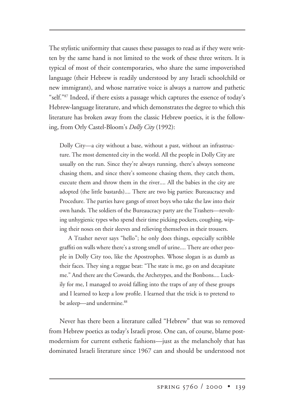The stylistic uniformity that causes these passages to read as if they were written by the same hand is not limited to the work of these three writers. It is typical of most of their contemporaries, who share the same impoverished language (their Hebrew is readily understood by any Israeli schoolchild or new immigrant), and whose narrative voice is always a narrow and pathetic "self."87 Indeed, if there exists a passage which captures the essence of today's Hebrew-language literature, and which demonstrates the degree to which this literature has broken away from the classic Hebrew poetics, it is the following, from Orly Castel-Bloom's *Dolly City* (1992):

Dolly City—a city without a base, without a past, without an infrastructure. The most demented city in the world. All the people in Dolly City are usually on the run. Since they're always running, there's always someone chasing them, and since there's someone chasing them, they catch them, execute them and throw them in the river.... All the babies in the city are adopted (the little bastards).... There are two big parties: Bureaucracy and Procedure. The parties have gangs of street boys who take the law into their own hands. The soldiers of the Bureaucracy party are the Trashers—revolting unhygienic types who spend their time picking pockets, coughing, wiping their noses on their sleeves and relieving themselves in their trousers.

A Trasher never says "hello"; he only does things, especially scribble graffiti on walls where there's a strong smell of urine.... There are other people in Dolly City too, like the Apostrophes. Whose slogan is as dumb as their faces. They sing a reggae beat: "The state is me, go on and decapitate me." And there are the Cowards, the Archetypes, and the Bonbons.... Luckily for me, I managed to avoid falling into the traps of any of these groups and I learned to keep a low profile. I learned that the trick is to pretend to be asleep—and undermine.<sup>88</sup>

Never has there been a literature called "Hebrew" that was so removed from Hebrew poetics as today's Israeli prose. One can, of course, blame postmodernism for current esthetic fashions—just as the melancholy that has dominated Israeli literature since 1967 can and should be understood not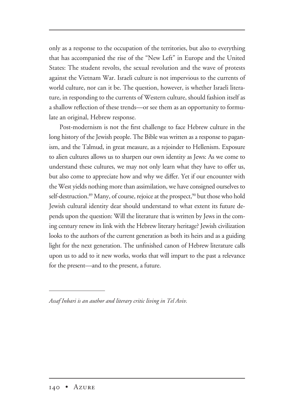only as a response to the occupation of the territories, but also to everything that has accompanied the rise of the "New Left" in Europe and the United States: The student revolts, the sexual revolution and the wave of protests against the Vietnam War. Israeli culture is not impervious to the currents of world culture, nor can it be. The question, however, is whether Israeli literature, in responding to the currents of Western culture, should fashion itself as a shallow reflection of these trends—or see them as an opportunity to formulate an original, Hebrew response.

Post-modernism is not the first challenge to face Hebrew culture in the long history of the Jewish people. The Bible was written as a response to paganism, and the Talmud, in great measure, as a rejoinder to Hellenism. Exposure to alien cultures allows us to sharpen our own identity as Jews: As we come to understand these cultures, we may not only learn what they have to offer us, but also come to appreciate how and why we differ. Yet if our encounter with the West yields nothing more than assimilation, we have consigned ourselves to self-destruction.<sup>89</sup> Many, of course, rejoice at the prospect,<sup>90</sup> but those who hold Jewish cultural identity dear should understand to what extent its future depends upon the question: Will the literature that is written by Jews in the coming century renew its link with the Hebrew literary heritage? Jewish civilization looks to the authors of the current generation as both its heirs and as a guiding light for the next generation. The unfinished canon of Hebrew literature calls upon us to add to it new works, works that will impart to the past a relevance for the present—and to the present, a future.

*Assaf Inbari is an author and literary critic living in Tel Aviv.*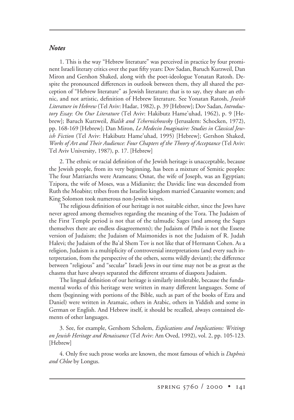#### *Notes*

1. This is the way "Hebrew literature" was perceived in practice by four prominent Israeli literary critics over the past fifty years: Dov Sadan, Baruch Kurzweil, Dan Miron and Gershon Shaked, along with the poet-ideologue Yonatan Ratosh. Despite the pronounced differences in outlook between them, they all shared the perception of "Hebrew literature" as Jewish literature; that is to say, they share an ethnic, and not artistic, definition of Hebrew literature. See Yonatan Ratosh, *Jewish Literature in Hebrew* (Tel Aviv: Hadar, 1982), p. 39 [Hebrew]; Dov Sadan, *Introductory Essay*: *On Our Literature* (Tel Aviv: Hakibutz Hame'uhad, 1962), p. 9 [Hebrew]; Baruch Kurzweil, *Bialik and Tchernichowsky* (Jerusalem: Schocken, 1972), pp. 168-169 [Hebrew]; Dan Miron, *Le Medecin Imaginaire: Studies in Classical Jewish Fiction* (Tel Aviv: Hakibutz Hame'uhad, 1995) [Hebrew]; Gershon Shaked, *Works of Art and Their Audience: Four Chapters of the Theory of Acceptance* (Tel Aviv: Tel Aviv University, 1987), p. 17. [Hebrew]

2. The ethnic or racial definition of the Jewish heritage is unacceptable, because the Jewish people, from its very beginning, has been a mixture of Semitic peoples: The four Matriarchs were Arameans; Osnat, the wife of Joseph, was an Egyptian; Tzipora, the wife of Moses, was a Midianite; the Davidic line was descended from Ruth the Moabite; tribes from the Israelite kingdom married Canaanite women; and King Solomon took numerous non-Jewish wives.

The religious definition of our heritage is not suitable either, since the Jews have never agreed among themselves regarding the meaning of the Tora. The Judaism of the First Temple period is not that of the talmudic Sages (and among the Sages themselves there are endless disagreements); the Judaism of Philo is not the Essene version of Judaism; the Judaism of Maimonides is not the Judaism of R. Judah Halevi; the Judaism of the Ba'al Shem Tov is not like that of Hermann Cohen. As a religion, Judaism is a multiplicity of controversial interpretations (and every such interpretation, from the perspective of the others, seems wildly deviant); the difference between "religious" and "secular" Israeli Jews in our time may not be as great as the chasms that have always separated the different streams of diaspora Judaism.

The lingual definition of our heritage is similarly intolerable, because the fundamental works of this heritage were written in many different languages. Some of them (beginning with portions of the Bible, such as part of the books of Ezra and Daniel) were written in Aramaic, others in Arabic, others in Yiddish and some in German or English. And Hebrew itself, it should be recalled, always contained elements of other languages.

3. See, for example, Gershom Scholem, *Explications and Implications: Writings on Jewish Heritage and Renaissance* (Tel Aviv: Am Oved, 1992), vol. 2, pp. 105-123. [Hebrew]

4. Only five such prose works are known, the most famous of which is *Daphnis and Chloe* by Longus.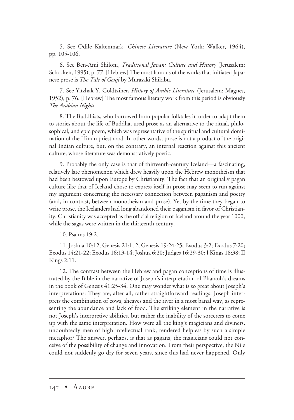5. See Odile Kaltenmark, *Chinese Literature* (New York: Walker, 1964), pp. 105-106.

6. See Ben-Ami Shiloni, *Traditional Japan: Culture and History* (Jerusalem: Schocken, 1995), p. 77. [Hebrew] The most famous of the works that initiated Japanese prose is *The Tale of Genji* by Murasaki Shikibu.

7. See Yitzhak Y. Goldtziher, *History of Arabic Literature* (Jerusalem: Magnes, 1952), p. 76. [Hebrew] The most famous literary work from this period is obviously *The Arabian Nights*.

8. The Buddhists, who borrowed from popular folktales in order to adapt them to stories about the life of Buddha, used prose as an alternative to the ritual, philosophical, and epic poem, which was representative of the spiritual and cultural domination of the Hindu priesthood. In other words, prose is not a product of the original Indian culture, but, on the contrary, an internal reaction against this ancient culture, whose literature was demonstratively poetic.

9. Probably the only case is that of thirteenth-century Iceland—a fascinating, relatively late phenomenon which drew heavily upon the Hebrew monotheism that had been bestowed upon Europe by Christianity. The fact that an originally pagan culture like that of Iceland chose to express itself in prose may seem to run against my argument concerning the necessary connection between paganism and poetry (and, in contrast, between monotheism and prose). Yet by the time they began to write prose, the Icelanders had long abandoned their paganism in favor of Christianity. Christianity was accepted as the official religion of Iceland around the year 1000, while the sagas were written in the thirteenth century.

10. Psalms 19:2.

11. Joshua 10:12; Genesis 21:1, 2; Genesis 19:24-25; Exodus 3:2; Exodus 7:20; Exodus 14:21-22; Exodus 16:13-14; Joshua 6:20; Judges 16:29-30; I Kings 18:38; II Kings 2:11.

12. The contrast between the Hebrew and pagan conceptions of time is illustrated by the Bible in the narrative of Joseph's interpretation of Pharaoh's dreams in the book of Genesis 41:25-34. One may wonder what is so great about Joseph's interpretations: They are, after all, rather straightforward readings. Joseph interprets the combination of cows, sheaves and the river in a most banal way, as representing the abundance and lack of food. The striking element in the narrative is not Joseph's interpretive abilities, but rather the inability of the sorcerers to come up with the same interpretation. How were all the king's magicians and diviners, undoubtedly men of high intellectual rank, rendered helpless by such a simple metaphor? The answer, perhaps, is that as pagans, the magicians could not conceive of the possibility of change and innovation. From their perspective, the Nile could not suddenly go dry for seven years, since this had never happened. Only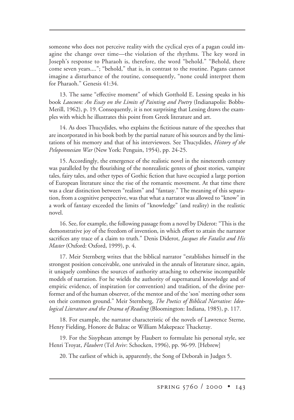someone who does not perceive reality with the cyclical eyes of a pagan could imagine the change over time—the violation of the rhythms. The key word in Joseph's response to Pharaoh is, therefore, the word "behold." "Behold, there come seven years...."; "behold," that is, in contrast to the routine. Pagans cannot imagine a disturbance of the routine, consequently, "none could interpret them for Pharaoh." Genesis 41:34.

13. The same "effective moment" of which Gotthold E. Lessing speaks in his book *Laocoon: An Essay on the Limits of Painting and Poetry* (Indianapolis: Bobbs-Merill, 1962), p. 19. Consequently, it is not surprising that Lessing draws the examples with which he illustrates this point from Greek literature and art.

14. As does Thucydides, who explains the fictitious nature of the speeches that are incorporated in his book both by the partial nature of his sources and by the limitations of his memory and that of his interviewees. See Thucydides, *History of the Peloponnesian War* (New York: Penguin, 1954), pp. 24-25.

15. Accordingly, the emergence of the realistic novel in the nineteenth century was paralleled by the flourishing of the nonrealistic genres of ghost stories, vampire tales, fairy tales, and other types of Gothic fiction that have occupied a large portion of European literature since the rise of the romantic movement. At that time there was a clear distinction between "realism" and "fantasy." The meaning of this separation, from a cognitive perspective, was that what a narrator was allowed to "know" in a work of fantasy exceeded the limits of "knowledge" (and reality) in the realistic novel.

16. See, for example, the following passage from a novel by Diderot: "This is the demonstrative joy of the freedom of invention, in which effort to attain the narrator sacrifices any trace of a claim to truth." Denis Diderot, *Jacques the Fatalist and His Master* (Oxford: Oxford, 1999), p. 4.

17. Meir Sternberg writes that the biblical narrator "establishes himself in the strongest position conceivable, one unrivaled in the annals of literature since, again, it uniquely combines the sources of authority attaching to otherwise incompatible models of narration. For he wields the authority of supernatural knowledge and of empiric evidence, of inspiration (or convention) and tradition, of the divine performer and of the human observer, of the mentor and of the 'son' meeting other sons on their common ground." Meir Sternberg, *The Poetics of Biblical Narrative: Ideological Literature and the Drama of Reading* (Bloomington: Indiana, 1985), p. 117.

18. For example, the narrator characteristic of the novels of Lawrence Sterne, Henry Fielding, Honore de Balzac or William Makepeace Thackeray.

19. For the Sisyphean attempt by Flaubert to formulate his personal style, see Henri Troyat, *Flaubert* (Tel Aviv: Schocken, 1996), pp. 96-99. [Hebrew]

20. The earliest of which is, apparently, the Song of Deborah in Judges 5.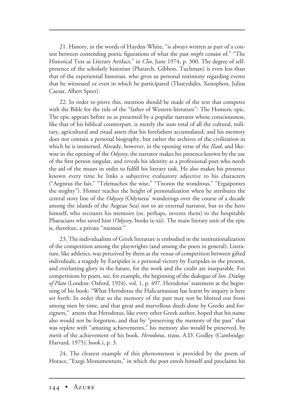21. History, in the words of Hayden White, "is always written as part of a contest between contending poetic figurations of what the past *might* consist of." "The Historical Text as Literary Artifact," in *Clio*, June 1974, p. 300. The degree of selfpresence of the scholarly historian (Plutarch, Gibbon, Tuchman) is even less than that of the experiential historian, who gives us personal testimony regarding events that he witnessed or even in which he participated (Thucydides, Xenophon, Julius Caesar, Albert Speer).

22. In order to prove this, mention should be made of the text that competes with the Bible for the title of the "father of Western literature": The Homeric epic. The epic appears before us as presented by a popular narrator whose consciousness, like that of his biblical counterpart, is merely the sum total of all the cultural, military, agricultural and ritual assets that his forefathers accumulated, and his memory does not contain a personal biography, but rather the archives of the civilization in which he is immersed. Already, however, in the opening verse of the *Iliad*, and likewise in the opening of the *Odyssey*, the narrator makes his presence known by the use of the first person singular, and reveals his identity as a professional poet who needs the aid of the muses in order to fulfill his literary task. He also makes his presence known every time he links a subjective evaluatory adjective to his characters ("Aegistus the fair," "Telemachos the wise," "Titonos the wondrous," "Ergaipontes the mighty"). Homer reaches the height of personalization when he attributes the central story line of the *Odyssey* (Odysseus' wanderings over the course of a decade among the islands of the Aegean Sea) not to an external narrator, but to the hero himself, who recounts his memoirs (or, perhaps, invents them) to the hospitable Phaeacians who saved him (*Odyssey*, books ix-xii). The main literary unit of the epic is, therefore, a private "memoir."

23. The individualism of Greek literature is embodied in the institutionalization of the competition among the playwrights (and among the poets in general): Literature, like athletics, was perceived by them as the venue of competition between gifted individuals; a tragedy by Euripides is a personal victory by Euripides in the present, and everlasting glory in the future, for the work and the credit are inseparable. For competitions by poets, see, for example, the beginning of the dialogue of *Ion. Dialogs of Plato* (London: Oxford, 1924), vol. 1, p. 497. Herodotus' statement at the beginning of his book: "What Herodotus the Halicarnassian has learnt by inquiry is here set forth: In order that so the memory of the past may not be blotted out from among men by time, and that great and marvellous deeds done by Greeks and foreigners," attests that Herodotus, like every other Greek author, hoped that his name also would not be forgotten, and that by "preserving the memory of the past" that was replete with "amazing achievements," his memory also would be preserved, by merit of the achievement of his book. *Herodotus*, trans. A.D. Godley (Cambridge: Harvard, 1975), book i, p. 3.

24. The clearest example of this phenomenon is provided by the poem of Horace, "Exegi Monumentum," in which the poet extols himself and proclaims his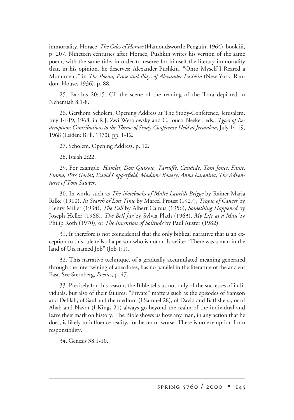immortality. Horace, *The Odes of Horace* (Hamondsworth: Penguin, 1964), book iii, p. 207. Nineteen centuries after Horace, Pushkin writes his version of the same poem, with the same title, in order to reserve for himself the literary immortality that, in his opinion, he deserves: Alexander Pushkin, "Onto Myself I Reared a Monument," in *The Poems, Prose and Plays of Alexander Pushkin* (New York: Random House, 1936), p. 88.

25. Exodus 20:15. Cf. the scene of the reading of the Tora depicted in Nehemiah 8:1-8.

26. Gershom Scholem, Opening Address at The Study-Conference, Jerusalem, July 14-19, 1968, in R.J. Zwi Werblowsky and C. Jouco Bleeker, eds., *Types of Redemption: Contributions to the Theme of Study-Conference Held at Jerusalem*, July 14-19, 1968 (Leiden: Brill, 1970), pp. 1-12.

27. Scholem, Opening Address, p. 12.

28. Isaiah 2:22.

29. For example: *Hamlet*, *Don Quixote*, *Tartuffe*, *Candide*, *Tom Jones*, *Faust*, *Emma*, *Père Goriot*, *David Copperfield*, *Madame Bovary*, *Anna Karenina*, *The Adventures of Tom Sawyer*.

30. In works such as *The Notebooks of Malte Laurids Brigge* by Rainer Maria Rilke (1910), *In Search of Lost Time* by Marcel Proust (1927), *Tropic of Cancer* by Henry Miller (1934), *The Fall* by Albert Camus (1956), *Something Happened* by Joseph Heller (1966), *The Bell Jar* by Sylvia Plath (1963), *My Life as a Man* by Philip Roth (1970), or *The Invention of Solitude* by Paul Auster (1982).

31. It therefore is not coincidental that the only biblical narrative that is an exception to this rule tells of a person who is not an Israelite: "There was a man in the land of Utz named Job" (Job 1:1).

32. This narrative technique, of a gradually accumulated meaning generated through the intertwining of anecdotes, has no parallel in the literature of the ancient East. See Sternberg, *Poetics*, p. 47.

33. Precisely for this reason, the Bible tells us not only of the successes of individuals, but also of their failures. "Private" matters such as the episodes of Samson and Delilah, of Saul and the medium (I Samuel 28), of David and Bathsheba, or of Ahab and Navot (I Kings 21) always go beyond the realm of the individual and leave their mark on history. The Bible shows us how any man, in any action that he does, is likely to influence reality, for better or worse. There is no exemption from responsibility.

34. Genesis 38:1-10.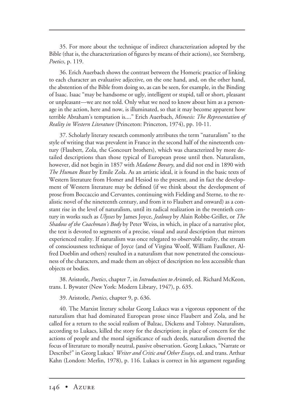35. For more about the technique of indirect characterization adopted by the Bible (that is, the characterization of figures by means of their actions), see Sternberg, *Poetics*, p. 119.

36. Erich Auerbach shows the contrast between the Homeric practice of linking to each character an evaluative adjective, on the one hand, and, on the other hand, the abstention of the Bible from doing so, as can be seen, for example, in the Binding of Isaac. Isaac "may be handsome or ugly, intelligent or stupid, tall or short, pleasant or unpleasant—we are not told. Only what we need to know about him as a personage in the action, here and now, is illuminated, so that it may become apparent how terrible Abraham's temptation is...." Erich Auerbach, *Mimesis: The Representation of Reality in Western Literature* (Princeton: Princeton, 1974), pp. 10-11.

37. Scholarly literary research commonly attributes the term "naturalism" to the style of writing that was prevalent in France in the second half of the nineteenth century (Flaubert, Zola, the Goncourt brothers), which was characterized by more detailed descriptions than those typical of European prose until then. Naturalism, however, did not begin in 1857 with *Madame Bovary*, and did not end in 1890 with *The Human Beast* by Emile Zola. As an artistic ideal, it is found in the basic texts of Western literature from Homer and Hesiod to the present, and in fact the development of Western literature may be defined (if we think about the development of prose from Boccaccio and Cervantes, continuing with Fielding and Sterne, to the realistic novel of the nineteenth century, and from it to Flaubert and onward) as a constant rise in the level of naturalism, until its radical realization in the twentieth century in works such as *Ulysses* by James Joyce, *Jealousy* by Alain Robbe-Grillet, or *The Shadow of the Coachman's Body* by Peter Weiss, in which, in place of a narrative plot, the text is devoted to segments of a precise, visual and aural description that mirrors experienced reality. If naturalism was once relegated to observable reality, the stream of consciousness technique of Joyce (and of Virgina Woolf, William Faulkner, Alfred Doeblin and others) resulted in a naturalism that now penetrated the consciousness of the characters, and made them an object of description no less accessible than objects or bodies.

38. Aristotle, *Poetics*, chapter 7, in *Introduction to Aristotle*, ed. Richard McKeon, trans. I. Bywater (New York: Modern Library, 1947), p. 635.

39. Aristotle, *Poetics*, chapter 9, p. 636.

40. The Marxist literary scholar Georg Lukacs was a vigorous opponent of the naturalism that had dominated European prose since Flaubert and Zola, and he called for a return to the social realism of Balzac, Dickens and Tolstoy. Naturalism, according to Lukacs, killed the story for the description; in place of concern for the actions of people and the moral significance of such deeds, naturalism diverted the focus of literature to morally neutral, passive observation. Georg Lukacs, "Narrate or Describe?" in Georg Lukacs' *Writer and Critic and Other Essays*, ed. and trans. Arthur Kahn (London: Merlin, 1978), p. 116. Lukacs is correct in his argument regarding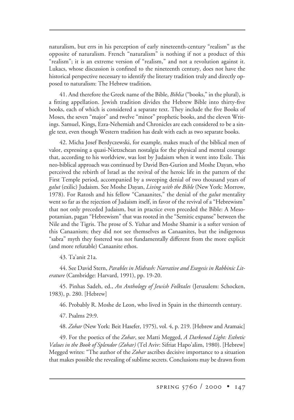naturalism, but errs in his perception of early nineteenth-century "realism" as the opposite of naturalism. French "naturalism" is nothing if not a product of this "realism"; it is an extreme version of "realism," and not a revolution against it. Lukacs, whose discussion is confined to the nineteenth century, does not have the historical perspective necessary to identify the literary tradition truly and directly opposed to naturalism: The Hebrew tradition**.**

41. And therefore the Greek name of the Bible, *Biblia* ("books," in the plural), is a fitting appellation. Jewish tradition divides the Hebrew Bible into thirty-five books, each of which is considered a separate text. They include the five Books of Moses, the seven "major" and twelve "minor" prophetic books, and the eleven Writings. Samuel, Kings, Ezra-Nehemiah and Chronicles are each considered to be a single text, even though Western tradition has dealt with each as two separate books.

42. Micha Josef Berdyczewski, for example, makes much of the biblical men of valor, expressing a quasi-Nietzschean nostalgia for the physical and mental courage that, according to his worldview, was lost by Judaism when it went into Exile. This neo-biblical approach was continued by David Ben-Gurion and Moshe Dayan, who perceived the rebirth of Israel as the revival of the heroic life in the pattern of the First Temple period, accompanied by a sweeping denial of two thousand years of *galut* (exilic) Judaism. See Moshe Dayan, *Living with the Bible* (New York: Morrow, 1978). For Ratosh and his fellow "Canaanites," the denial of the *galut* mentality went so far as the rejection of Judaism itself, in favor of the revival of a "Hebrewism" that not only preceded Judaism, but in practice even preceded the Bible: A Mesopotamian, pagan "Hebrewism" that was rooted in the "Semitic expanse" between the Nile and the Tigris. The prose of S. Yizhar and Moshe Shamir is a softer version of this Canaanism; they did not see themselves as Canaanites, but the indigenous "sabra" myth they fostered was not fundamentally different from the more explicit (and more refutable) Canaanite ethos.

43. Ta'anit 21a.

44. See David Stern, *Parables in Midrash: Narrative and Exegesis in Rabbinic Literature* (Cambridge: Harvard, 1991), pp. 19-20.

45. Pinhas Sadeh, ed., *An Anthology of Jewish Folktales* (Jerusalem: Schocken, 1983), p. 280. [Hebrew]

46. Probably R. Moshe de Leon, who lived in Spain in the thirteenth century.

47. Psalms 29:9.

48. *Zohar* (New York: Beit Hasefer, 1975), vol. 4, p. 219. [Hebrew and Aramaic]

49. For the poetics of the *Zohar*, see Matti Megged, *A Darkened Light: Esthetic Values in the Book of Splendor (Zohar)* (Tel Aviv: Sifriat Hapo'alim, 1980). [Hebrew] Megged writes: "The author of the *Zohar* ascribes decisive importance to a situation that makes possible the revealing of sublime secrets. Conclusions may be drawn from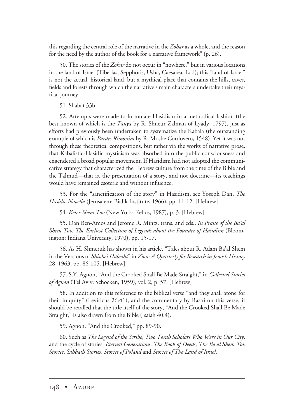this regarding the central role of the narrative in the *Zohar* as a whole, and the reason for the need by the author of the book for a narrative framework" (p. 26).

50. The stories of the *Zohar* do not occur in "nowhere," but in various locations in the land of Israel (Tiberias, Sepphoris, Usha, Caesarea, Lod); this "land of Israel" is not the actual, historical land, but a mythical place that contains the hills, caves, fields and forests through which the narrative's main characters undertake their mystical journey.

51. Shabat 33b.

52. Attempts were made to formulate Hasidism in a methodical fashion (the best-known of which is the *Tanya* by R. Shneur Zalman of Lyady, 1797), just as efforts had previously been undertaken to systematize the Kabala (the outstanding example of which is *Pardes Rimonim* by R. Moshe Cordovero, 1548). Yet it was not through these theoretical compositions, but rather via the works of narrative prose, that Kabalistic-Hasidic mysticism was absorbed into the public consciousness and engendered a broad popular movement. If Hasidism had not adopted the communicative strategy that characterized the Hebrew culture from the time of the Bible and the Talmud—that is, the presentation of a story, and not doctrine—its teachings would have remained esoteric and without influence.

53. For the "sanctification of the story" in Hasidism, see Yoseph Dan, *The Hasidic Novella* (Jerusalem: Bialik Institute, 1966), pp. 11-12. [Hebrew]

54. *Keter Shem Tov* (New York: Kehos, 1987), p. 3. [Hebrew]

55. Dan Ben-Amos and Jerome R. Mintz, trans. and eds., *In Praise of the Ba'al Shem Tov: The Earliest Collection of Legends about the Founder of Hasidism* (Bloomington: Indiana University, 1970), pp. 15-17**.**

56. As H. Shmeruk has shown in his article, "Tales about R. Adam Ba'al Shem in the Versions of *Shivhei Habesht*" in *Zion: A Quarterly for Research in Jewish History* 28, 1963, pp. 86-105. [Hebrew]

57. S.Y. Agnon, "And the Crooked Shall Be Made Straight," in *Collected Stories of Agnon* (Tel Aviv: Schocken, 1959), vol. 2, p. 57. [Hebrew]

58. In addition to this reference to the biblical verse "and they shall atone for their iniquity" (Leviticus 26:41), and the commentary by Rashi on this verse, it should be recalled that the title itself of the story, "And the Crooked Shall Be Made Straight," is also drawn from the Bible (Isaiah 40:4).

59. Agnon, "And the Crooked," pp. 89-90.

60. Such as *The Legend of the Scribe*, *Two Torah Scholars Who Were in Our City*, and the cycle of stories: *Eternal Generations*, *The Book of Deeds*, *The Ba'al Shem Tov Stories*, *Sabbath Stories*, *Stories of Poland* and *Stories of The Land of Israel*.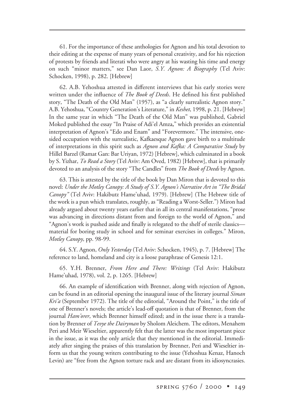61. For the importance of these anthologies for Agnon and his total devotion to their editing at the expense of many years of personal creativity, and for his rejection of protests by friends and literati who were angry at his wasting his time and energy on such "minor matters," see Dan Laor, *S.Y. Agnon: A Biography* (Tel Aviv: Schocken, 1998), p. 282. [Hebrew]

62. A.B. Yehoshua attested in different interviews that his early stories were written under the influence of *The Book of Deeds*. He defined his first published story, "The Death of the Old Man" (1957), as "a clearly surrealistic Agnon story." A.B. Yehoshua, "Country Generation's Literature," in *Keshet*, 1998, p. 21. [Hebrew] In the same year in which "The Death of the Old Man" was published, Gabriel Moked published the essay "In Praise of Adi'el Amza**,**" which provides an existential interpretation of Agnon's "Edo and Enam" and "Forevermore." The intensive, onesided occupation with the surrealistic, Kafkaesque Agnon gave birth to a multitude of interpretations in this spirit such as *Agnon and Kafka: A Comparative Study* by Hillel Barzel (Ramat Gan: Bar Uriyan, 1972) [Hebrew], which culminated in a book by S. Yizhar, *To Read a Story* (Tel Aviv: Am Oved, 1982) [Hebrew], that is primarily devoted to an analysis of the story "The Candles" from *The Book of Deeds* by Agnon.

63. This is attested by the title of the book by Dan Miron that is devoted to this novel: *Under the Motley Canopy: A Study of S.Y. Agnon's Narrative Art in "The Bridal Canopy"* (Tel Aviv: Hakibutz Hame'uhad, 1979). [Hebrew] (The Hebrew title of the work is a pun which translates, roughly, as "Reading a Worst-Seller.") Miron had already argued about twenty years earlier that in all its central manifestations, "prose was advancing in directions distant from and foreign to the world of Agnon," and "Agnon's work is pushed aside and finally is relegated to the shelf of sterile classics material for boring study in school and for seminar exercises in colleges." Miron, *Motley Canopy*, pp. 98-99.

64. S.Y. Agnon, *Only Yesterday* (Tel Aviv: Schocken, 1945), p. 7. [Hebrew] The reference to land, homeland and city is a loose paraphrase of Genesis 12:1.

65. Y.H. Brenner, *From Here and There: Writings* (Tel Aviv: Hakibutz Hame'uhad, 1978), vol. 2, p. 1265. [Hebrew]

66. An example of identification with Brenner, along with rejection of Agnon, can be found in an editorial opening the inaugural issue of the literary journal *Siman Kri'a* (September 1972). The title of the editorial, "Around the Point," is the title of one of Brenner's novels; the article's lead-off quotation is that of Brenner, from the journal *Ham'orer*, which Brenner himself edited; and in the issue there is a translation by Brenner of *Tevye the Dairyman* by Sholom Aleichem. The editors, Menahem Peri and Meir Wieseltier, apparently felt that the latter was the most important piece in the issue, as it was the only article that they mentioned in the editorial. Immediately after singing the praises of this translation by Brenner, Peri and Wieseltier inform us that the young writers contributing to the issue (Yehoshua Kenaz, Hanoch Levin) are "free from the Agnon torture rack and are distant from its idiosyncrasies.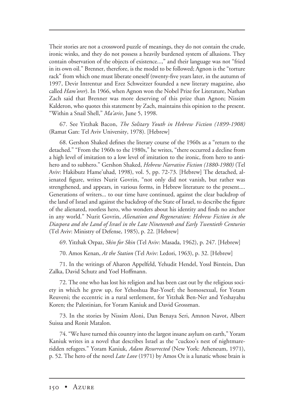Their stories are not a crossword puzzle of meanings, they do not contain the crude, ironic winks, and they do not possess a heavily burdened system of allusions. They contain observation of the objects of existence...," and their language was not "fried in its own oil." Brenner, therefore, is the model to be followed; Agnon is the "torture rack" from which one must liberate oneself (twenty-five years later, in the autumn of 1997, Devir Intrentur and Erez Schweitzer founded a new literary magazine, also called *Ham'orer*). In 1966, when Agnon won the Nobel Prize for Literature, Nathan Zach said that Brenner was more deserving of this prize than Agnon; Nissim Kalderon, who quotes this statement by Zach, maintains this opinion to the present. "Within a Snail Shell," *Ma'ariv*, June 5, 1998.

67. See Yitzhak Bacon, *The Solitary Youth in Hebrew Fiction (1899-1908)* (Ramat Gan: Tel Aviv University, 1978). [Hebrew]

68. Gershon Shaked defines the literary course of the 1960s as a "return to the detached." "From the 1960s to the 1980s," he writes, "there occurred a decline from a high level of imitation to a low level of imitation to the ironic, from hero to antihero and to subhero." Gershon Shaked, *Hebrew Narrative Fiction (1880-1980)* (Tel Aviv: Hakibutz Hame'uhad, 1998), vol. 5, pp. 72-73. [Hebrew] The detached, alienated figure, writes Nurit Govrin, "not only did not vanish, but rather was strengthened, and appears, in various forms, in Hebrew literature to the present.... Generations of writers... to our time have continued, against the clear backdrop of the land of Israel and against the backdrop of the State of Israel, to describe the figure of the alienated, rootless hero, who wonders about his identity and finds no anchor in any world." Nurit Govrin, *Alienation and Regeneration: Hebrew Fiction in the Diaspora and the Land of Israel in the Late Nineteenth and Early Twentieth Centuries* (Tel Aviv: Ministry of Defense, 1985), p. 22. [Hebrew]

69. Yitzhak Orpaz, *Skin for Skin* (Tel Aviv: Masada, 1962), p. 247. [Hebrew]

70. Amos Kenan, *At the Station* (Tel Aviv: Ledori, 1963), p. 32. [Hebrew]

71. In the writings of Aharon Appelfeld, Yehudit Hendel, Yossl Birstein, Dan Zalka, David Schutz and Yoel Hoffmann.

72. The one who has lost his religion and has been cast out by the religious society in which he grew up, for Yehoshua Bar-Yosef; the homosexual, for Yotam Reuveni; the eccentric in a rural settlement, for Yitzhak Ben-Ner and Yeshayahu Koren; the Palestinian, for Yoram Kaniuk and David Grossman.

73. In the stories by Nissim Aloni, Dan Benaya Seri, Amnon Navot, Albert Suissa and Ronit Matalon.

74. "We have turned this country into the largest insane asylum on earth," Yoram Kaniuk writes in a novel that describes Israel as the "cuckoo's nest of nightmareridden refugees." Yoram Kaniuk, *Adam Resurrected* (New York: Atheneum, 1971), p. 52. The hero of the novel *Late Love* (1971) by Amos Oz is a lunatic whose brain is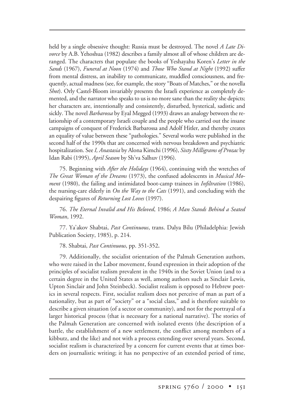held by a single obsessive thought: Russia must be destroyed. The novel *A Late Divorce* by A.B. Yehoshua (1982) describes a family almost all of whose children are deranged. The characters that populate the books of Yeshayahu Koren's *Letter in the Sands* (1967), *Funeral at Noon* (1974) and *Those Who Stand at Night* (1992) suffer from mental distress, an inability to communicate, muddled consciousness, and frequently, actual madness (see, for example, the story "Boats of Matches," or the novella *Shot*). Orly Castel-Bloom invariably presents the Israeli experience as completely demented, and the narrator who speaks to us is no more sane than the reality she depicts; her characters are, intentionally and consistently, disturbed, hysterical, sadistic and sickly. The novel *Barbarossa* by Eyal Megged (1993) draws an analogy between the relationship of a contemporary Israeli couple and the people who carried out the insane campaigns of conquest of Frederick Barbarossa and Adolf Hitler, and thereby creates an equality of value between these "pathologies." Several works were published in the second half of the 1990s that are concerned with nervous breakdown and psychiatric hospitalization. See *I, Anastasia* by Alona Kimchi (1996), *Sixty Milligrams of Prozac* by Idan Rabi (1995), *April Season* by Sh'va Salhuv (1996).

75. Beginning with *After the Holidays* (1964), continuing with the wretches of *The Great Woman of the Dreams* (1973), the confused adolescents in *Musical Moment* (1980), the failing and intimidated boot-camp trainees in *Infiltration* (1986), the nursing-care elderly in *On the Way to the Cats* (1991), and concluding with the despairing figures of *Returning Lost Loves* (1997).

76. *The Eternal Invalid and His Beloved*, 1986; *A Man Stands Behind a Seated Woman*, 1992.

77. Ya'akov Shabtai, *Past Continuous*, trans. Dalya Bilu (Philadelphia: Jewish Publication Society, 1985), p. 214.

78. Shabtai, *Past Continuous*, pp. 351-352**.**

79. Additionally, the socialist orientation of the Palmah Generation authors, who were raised in the Labor movement, found expression in their adoption of the principles of socialist realism prevalent in the 1940s in the Soviet Union (and to a certain degree in the United States as well, among authors such as Sinclair Lewis, Upton Sinclair and John Steinbeck). Socialist realism is opposed to Hebrew poetics in several respects. First, socialist realism does not perceive of man as part of a nationality, but as part of "society" or a "social class," and is therefore suitable to describe a given situation (of a sector or community), and not for the portrayal of a larger historical process (that is necessary for a national narrative). The stories of the Palmah Generation are concerned with isolated events (the description of a battle, the establishment of a new settlement, the conflict among members of a kibbutz, and the like) and not with a process extending over several years. Second, socialist realism is characterized by a concern for current events that at times borders on journalistic writing; it has no perspective of an extended period of time,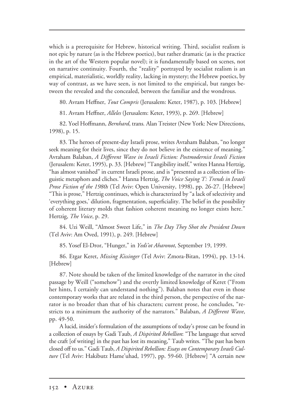which is a prerequisite for Hebrew, historical writing. Third, socialist realism is not epic by nature (as is the Hebrew poetics), but rather dramatic (as is the practice in the art of the Western popular novel); it is fundamentally based on scenes, not on narrative continuity. Fourth, the "reality" portrayed by socialist realism is an empirical, materialistic, worldly reality, lacking in mystery; the Hebrew poetics, by way of contrast, as we have seen, is not limited to the empirical, but ranges between the revealed and the concealed, between the familiar and the wondrous.

80. Avram Heffner, *Tout Compris* (Jerusalem: Keter, 1987), p. 103. [Hebrew]

81. Avram Heffner, *Alleles* (Jerusalem: Keter, 1993), p. 269. [Hebrew]

82. Yoel Hoffmann, *Bernhard*, trans*.* Alan Treister (New York: New Directions, 1998), p. 15.

83. The heroes of present-day Israeli prose, writes Avraham Balaban, "no longer seek meaning for their lives, since they do not believe in the existence of meaning." Avraham Balaban, *A Different Wave in Israeli Fiction: Postmodernist Israeli Fiction* (Jerusalem: Keter, 1995), p. 33. [Hebrew] "Tangibility itself," writes Hanna Hertzig, "has almost vanished" in current Israeli prose, and is "presented as a collection of linguistic metaphors and cliches." Hanna Hertzig, *The Voice Saying 'I': Trends in Israeli Prose Fiction of the 1980s* (Tel Aviv: Open University, 1998), pp. 26-27. [Hebrew] "This is prose," Hertzig continues, which is characterized by "a lack of selectivity and 'everything goes,' dilution, fragmentation, superficiality. The belief in the possibility of coherent literary molds that fashion coherent meaning no longer exists here." Hertzig, *The Voice*, p. 29.

84. Uzi Weill, "Almost Sweet Life," in *The Day They Shot the President Down* (Tel Aviv: Am Oved, 1991), p. 249. [Hebrew]

85. Yosef El-Dror, "Hunger," in *Yedi'ot Aharonot*, September 19, 1999.

86. Etgar Keret, *Missing Kissinger* (Tel Aviv: Zmora-Bitan, 1994), pp. 13-14. [Hebrew]

87. Note should be taken of the limited knowledge of the narrator in the cited passage by Weill ("somehow") and the overtly limited knowledge of Keret ("From her hints, I certainly can understand nothing"). Balaban notes that even in those contemporary works that are related in the third person, the perspective of the narrator is no broader than that of his characters; current prose, he concludes, "restricts to a minimum the authority of the narrators." Balaban, *A Different Wave*, pp. 49-50.

A lucid, insider's formulation of the assumptions of today's prose can be found in a collection of essays by Gadi Taub, *A Dispirited Rebellion*: "The language that served the craft [of writing] in the past has lost its meaning," Taub writes. "The past has been closed off to us." Gadi Taub, *A Dispirited Rebellion: Essays on Contemporary Israeli Culture* (Tel Aviv: Hakibutz Hame'uhad, 1997), pp. 59-60. [Hebrew] "A certain new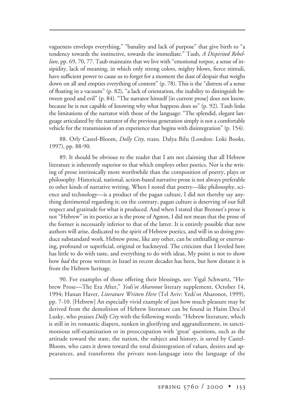vagueness envelops everything," "banality and lack of purpose" that give birth to "a tendency towards the instinctive, towards the immediate." Taub, *A Dispirited Rebellion*, pp. 69, 70, 77. Taub maintains that we live with "emotional torpor, a sense of insipidity, lack of meaning, in which only strong colors, mighty blows, fierce stimuli, have sufficient power to cause us to forget for a moment the dust of despair that weighs down on all and empties everything of content" (p. 78). This is the "distress of a sense of floating in a vacuum" (p. 82), "a lack of orientation, the inability to distinguish between good and evil" (p. 84). "The narrator himself [in current prose] does not know, because he is not capable of knowing why what happens does so" (p. 92). Taub links the limitations of the narrator with those of the language: "The splendid, elegant language articulated by the narrator of the previous generation simply is not a comfortable vehicle for the transmission of an experience that begins with disintegration" (p. 154).

88. Orly Castel-Bloom, *Dolly City,* trans. Dalya Bilu (London: Loki Books, 1997), pp. 88-90.

89. It should be obvious to the reader that I am not claiming that all Hebrew literature is inherently superior to that which employs other poetics. Nor is the writing of prose intrinsically more worthwhile than the composition of poetry, plays or philosophy. Historical, national, action-based narrative prose is not always preferable to other kinds of narrative writing. When I noted that poetry—like philosophy, science and technology—is a product of the pagan culture, I did not thereby say anything detrimental regarding it; on the contrary, pagan culture is deserving of our full respect and gratitude for what it produced. And when I stated that Brenner's prose is not "Hebrew" in its poetics as is the prose of Agnon, I did not mean that the prose of the former is necessarily inferior to that of the latter. It is entirely possible that new authors will arise, dedicated to the spirit of Hebrew poetics, and will in so doing produce substandard work. Hebrew prose, like any other, can be enthralling or enervating, profound or superficial, original or hackneyed. The criticism that I leveled here has little to do with taste, and everything to do with ideas. My point is not to show how *bad* the prose written in Israel in recent decades has been, but how distant it is from the Hebrew heritage.

90. For examples of those offering their blessings, see: Yigal Schwartz, "Hebrew Prose—The Era After," *Yedi'ot Aharonot* literary supplement, October 14, 1994; Hanan Haver, *Literature Written Here* (Tel Aviv: Yedi'ot Aharonot, 1999), pp. 7-10. [Hebrew] An especially vivid example of just how much pleasure may be derived from the demolition of Hebrew literature can be found in Haim Deu'el Lusky, who praises *Dolly City* with the following words: "Hebrew literature, which is still in its romantic diapers, sunken in glorifying and aggrandizement, in sanctimonious self-examination or in preoccupation with 'great' questions, such as the attitude toward the state, the nation, the subject and history, is saved by Castel-Bloom, who casts it down toward the total disintegration of values, desires and appearances, and transforms the private non-language into the language of the